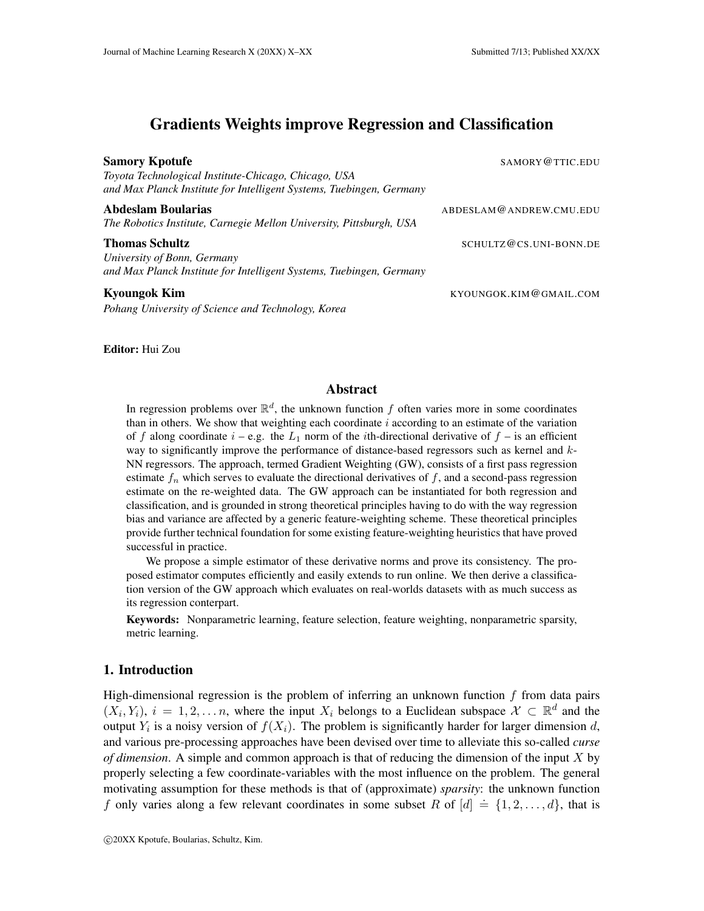# Gradients Weights improve Regression and Classification

| <b>Samory Kpotufe</b><br>Toyota Technological Institute-Chicago, Chicago, USA<br>and Max Planck Institute for Intelligent Systems, Tuebingen, Germany | SAMORY @TTIC.EDU        |
|-------------------------------------------------------------------------------------------------------------------------------------------------------|-------------------------|
| <b>Abdeslam Boularias</b><br>The Robotics Institute, Carnegie Mellon University, Pittsburgh, USA                                                      | ABDESLAM@ANDREW.CMU.EDU |
| <b>Thomas Schultz</b><br>University of Bonn, Germany<br>and Max Planck Institute for Intelligent Systems, Tuebingen, Germany                          | SCHULTZ@CS.UNI-BONN.DE  |
| <b>Kyoungok Kim</b><br>Pohang University of Science and Technology, Korea                                                                             | KYOUNGOK.KIM@GMAIL.COM  |

Editor: Hui Zou

## Abstract

In regression problems over  $\mathbb{R}^d$ , the unknown function  $f$  often varies more in some coordinates than in others. We show that weighting each coordinate *i* according to an estimate of the variation of *f* along coordinate  $i - e.g.$  the  $L_1$  norm of the *i*th-directional derivative of  $f -$  is an efficient way to significantly improve the performance of distance-based regressors such as kernel and *k*-NN regressors. The approach, termed Gradient Weighting (GW), consists of a first pass regression estimate  $f_n$  which serves to evaluate the directional derivatives of  $f$ , and a second-pass regression estimate on the re-weighted data. The GW approach can be instantiated for both regression and classification, and is grounded in strong theoretical principles having to do with the way regression bias and variance are affected by a generic feature-weighting scheme. These theoretical principles provide further technical foundation for some existing feature-weighting heuristics that have proved successful in practice.

We propose a simple estimator of these derivative norms and prove its consistency. The proposed estimator computes efficiently and easily extends to run online. We then derive a classification version of the GW approach which evaluates on real-worlds datasets with as much success as its regression conterpart.

Keywords: Nonparametric learning, feature selection, feature weighting, nonparametric sparsity, metric learning.

### 1. Introduction

High-dimensional regression is the problem of inferring an unknown function *f* from data pairs  $(X_i, Y_i)$ ,  $i = 1, 2, \ldots n$ , where the input  $X_i$  belongs to a Euclidean subspace  $\mathcal{X} \subset \mathbb{R}^d$  and the output  $Y_i$  is a noisy version of  $f(X_i)$ . The problem is significantly harder for larger dimension *d*, and various pre-processing approaches have been devised over time to alleviate this so-called *curse of dimension*. A simple and common approach is that of reducing the dimension of the input *X* by properly selecting a few coordinate-variables with the most influence on the problem. The general motivating assumption for these methods is that of (approximate) *sparsity*: the unknown function *f* only varies along a few relevant coordinates in some subset *R* of  $[d] \doteq \{1, 2, ..., d\}$ , that is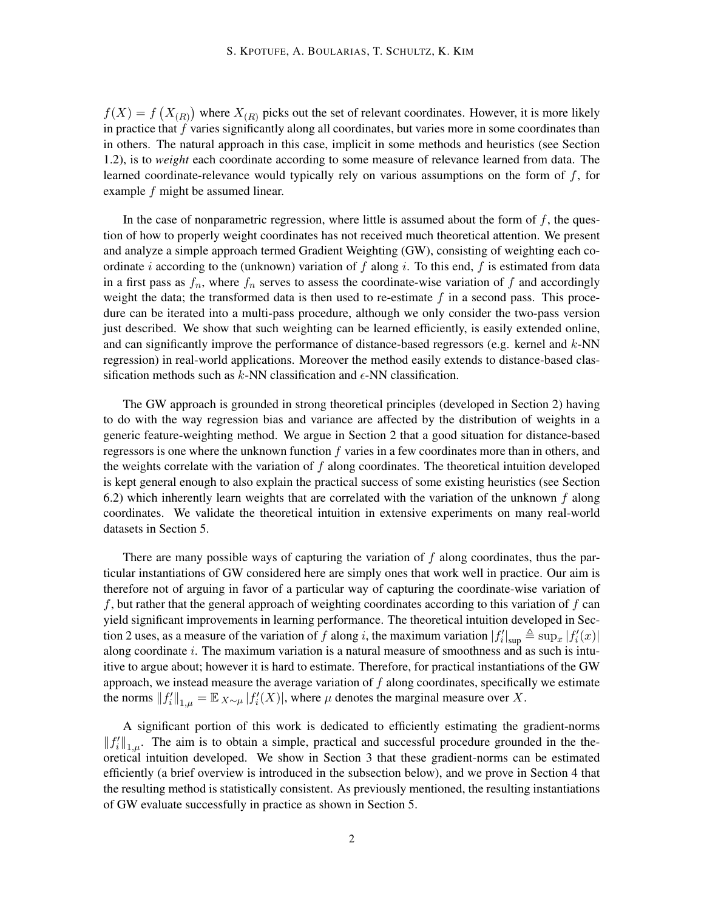$f(X) = f(X_{(R)})$  where  $X_{(R)}$  picks out the set of relevant coordinates. However, it is more likely in practice that *f* varies significantly along all coordinates, but varies more in some coordinates than in others. The natural approach in this case, implicit in some methods and heuristics (see Section 1.2), is to *weight* each coordinate according to some measure of relevance learned from data. The learned coordinate-relevance would typically rely on various assumptions on the form of *f*, for example *f* might be assumed linear.

In the case of nonparametric regression, where little is assumed about the form of  $f$ , the question of how to properly weight coordinates has not received much theoretical attention. We present and analyze a simple approach termed Gradient Weighting (GW), consisting of weighting each coordinate *i* according to the (unknown) variation of *f* along *i*. To this end, *f* is estimated from data in a first pass as  $f_n$ , where  $f_n$  serves to assess the coordinate-wise variation of  $f$  and accordingly weight the data; the transformed data is then used to re-estimate *f* in a second pass. This procedure can be iterated into a multi-pass procedure, although we only consider the two-pass version just described. We show that such weighting can be learned efficiently, is easily extended online, and can significantly improve the performance of distance-based regressors (e.g. kernel and *k*-NN regression) in real-world applications. Moreover the method easily extends to distance-based classification methods such as  $k$ -NN classification and  $\epsilon$ -NN classification.

The GW approach is grounded in strong theoretical principles (developed in Section 2) having to do with the way regression bias and variance are affected by the distribution of weights in a generic feature-weighting method. We argue in Section 2 that a good situation for distance-based regressors is one where the unknown function *f* varies in a few coordinates more than in others, and the weights correlate with the variation of *f* along coordinates. The theoretical intuition developed is kept general enough to also explain the practical success of some existing heuristics (see Section 6.2) which inherently learn weights that are correlated with the variation of the unknown *f* along coordinates. We validate the theoretical intuition in extensive experiments on many real-world datasets in Section 5.

There are many possible ways of capturing the variation of *f* along coordinates, thus the particular instantiations of GW considered here are simply ones that work well in practice. Our aim is therefore not of arguing in favor of a particular way of capturing the coordinate-wise variation of *f*, but rather that the general approach of weighting coordinates according to this variation of *f* can yield significant improvements in learning performance. The theoretical intuition developed in Section 2 uses, as a measure of the variation of *f* along *i*, the maximum variation  $|f'_i|_{\text{sup}} \triangleq \sup_x |f'_i(x)|$ along coordinate *i*. The maximum variation is a natural measure of smoothness and as such is intuitive to argue about; however it is hard to estimate. Therefore, for practical instantiations of the GW approach, we instead measure the average variation of *f* along coordinates, specifically we estimate the norms  $||f'_i||_{1,\mu} = \mathbb{E}_{X \sim \mu} |f'_i(X)|$ , where  $\mu$  denotes the marginal measure over *X*.

A significant portion of this work is dedicated to efficiently estimating the gradient-norms  $||f'_i||_{1,\mu}$ . The aim is to obtain a simple, practical and successful procedure grounded in the theoretical intuition developed. We show in Section 3 that these gradient-norms can be estimated efficiently (a brief overview is introduced in the subsection below), and we prove in Section 4 that the resulting method is statistically consistent. As previously mentioned, the resulting instantiations of GW evaluate successfully in practice as shown in Section 5.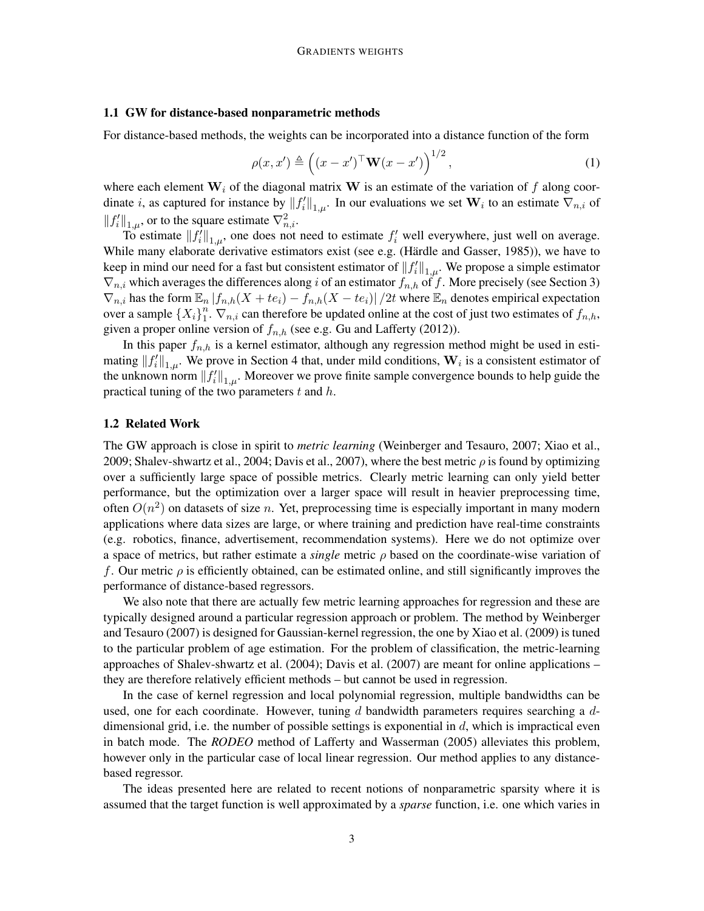#### 1.1 GW for distance-based nonparametric methods

For distance-based methods, the weights can be incorporated into a distance function of the form

$$
\rho(x, x') \triangleq \left( (x - x')^{\top} \mathbf{W}(x - x') \right)^{1/2}, \tag{1}
$$

where each element  $W_i$  of the diagonal matrix  $W$  is an estimate of the variation of f along coordinate *i*, as captured for instance by  $||f'_i||_{1,\mu}$ . In our evaluations we set  $W_i$  to an estimate  $\nabla_{n,i}$  of  $||f'_i||_{1,\mu}$ , or to the square estimate  $\nabla^2_{n,i}$ .

To estimate  $||f'_i||_{1,\mu}$ , one does not need to estimate  $f'_i$  well everywhere, just well on average. While many elaborate derivative estimators exist (see e.g. (Härdle and Gasser, 1985)), we have to keep in mind our need for a fast but consistent estimator of  $||f_i'||_{1,\mu}$ . We propose a simple estimator *∇n,i* which averages the differences along *i* of an estimator *fn,h* of *f*. More precisely (see Section 3)  $\nabla_{n,i}$  has the form  $\mathbb{E}_n | f_{n,h}(X + te_i) - f_{n,h}(X - te_i) | / 2t$  where  $\mathbb{E}_n$  denotes empirical expectation over a sample  $\{X_i\}_{1}^{n}$  $\int_1^n$ .  $\nabla_{n,i}$  can therefore be updated online at the cost of just two estimates of  $f_{n,h}$ , given a proper online version of  $f_{n,h}$  (see e.g. Gu and Lafferty (2012)).

In this paper  $f_{n,h}$  is a kernel estimator, although any regression method might be used in estimating  $||f'_i||_{1,\mu}$ . We prove in Section 4 that, under mild conditions,  $W_i$  is a consistent estimator of the unknown norm  $||f_i'||_{1,\mu}$ . Moreover we prove finite sample convergence bounds to help guide the practical tuning of the two parameters *t* and *h*.

#### 1.2 Related Work

The GW approach is close in spirit to *metric learning* (Weinberger and Tesauro, 2007; Xiao et al., 2009; Shalev-shwartz et al., 2004; Davis et al., 2007), where the best metric *ρ* is found by optimizing over a sufficiently large space of possible metrics. Clearly metric learning can only yield better performance, but the optimization over a larger space will result in heavier preprocessing time, often *O*(*n* 2 ) on datasets of size *n*. Yet, preprocessing time is especially important in many modern applications where data sizes are large, or where training and prediction have real-time constraints (e.g. robotics, finance, advertisement, recommendation systems). Here we do not optimize over a space of metrics, but rather estimate a *single* metric *ρ* based on the coordinate-wise variation of *f*. Our metric *ρ* is efficiently obtained, can be estimated online, and still significantly improves the performance of distance-based regressors.

We also note that there are actually few metric learning approaches for regression and these are typically designed around a particular regression approach or problem. The method by Weinberger and Tesauro (2007) is designed for Gaussian-kernel regression, the one by Xiao et al. (2009) is tuned to the particular problem of age estimation. For the problem of classification, the metric-learning approaches of Shalev-shwartz et al. (2004); Davis et al. (2007) are meant for online applications – they are therefore relatively efficient methods – but cannot be used in regression.

In the case of kernel regression and local polynomial regression, multiple bandwidths can be used, one for each coordinate. However, tuning *d* bandwidth parameters requires searching a *d*dimensional grid, i.e. the number of possible settings is exponential in *d*, which is impractical even in batch mode. The *RODEO* method of Lafferty and Wasserman (2005) alleviates this problem, however only in the particular case of local linear regression. Our method applies to any distancebased regressor.

The ideas presented here are related to recent notions of nonparametric sparsity where it is assumed that the target function is well approximated by a *sparse* function, i.e. one which varies in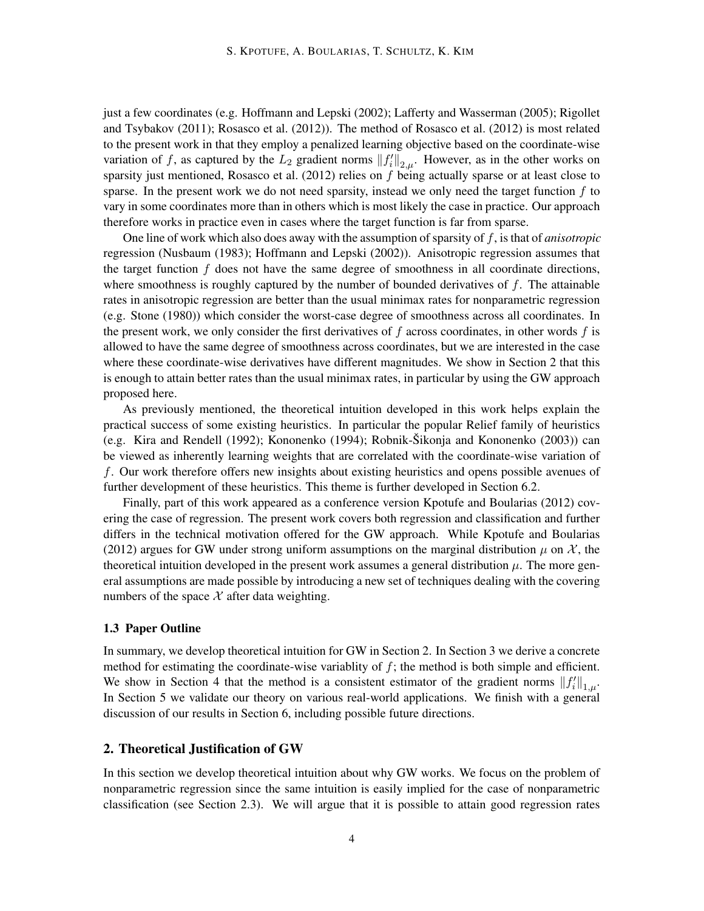just a few coordinates (e.g. Hoffmann and Lepski (2002); Lafferty and Wasserman (2005); Rigollet and Tsybakov (2011); Rosasco et al. (2012)). The method of Rosasco et al. (2012) is most related to the present work in that they employ a penalized learning objective based on the coordinate-wise variation of f, as captured by the  $L_2$  gradient norms  $||f_i'||_{2,\mu}$ . However, as in the other works on sparsity just mentioned, Rosasco et al. (2012) relies on *f* being actually sparse or at least close to sparse. In the present work we do not need sparsity, instead we only need the target function *f* to vary in some coordinates more than in others which is most likely the case in practice. Our approach therefore works in practice even in cases where the target function is far from sparse.

One line of work which also does away with the assumption of sparsity of *f*, is that of *anisotropic* regression (Nusbaum (1983); Hoffmann and Lepski (2002)). Anisotropic regression assumes that the target function *f* does not have the same degree of smoothness in all coordinate directions, where smoothness is roughly captured by the number of bounded derivatives of *f*. The attainable rates in anisotropic regression are better than the usual minimax rates for nonparametric regression (e.g. Stone (1980)) which consider the worst-case degree of smoothness across all coordinates. In the present work, we only consider the first derivatives of *f* across coordinates, in other words *f* is allowed to have the same degree of smoothness across coordinates, but we are interested in the case where these coordinate-wise derivatives have different magnitudes. We show in Section 2 that this is enough to attain better rates than the usual minimax rates, in particular by using the GW approach proposed here.

As previously mentioned, the theoretical intuition developed in this work helps explain the practical success of some existing heuristics. In particular the popular Relief family of heuristics (e.g. Kira and Rendell (1992); Kononenko (1994); Robnik-Sikonja and Kononenko (2003)) can ˇ be viewed as inherently learning weights that are correlated with the coordinate-wise variation of *f*. Our work therefore offers new insights about existing heuristics and opens possible avenues of further development of these heuristics. This theme is further developed in Section 6.2.

Finally, part of this work appeared as a conference version Kpotufe and Boularias (2012) covering the case of regression. The present work covers both regression and classification and further differs in the technical motivation offered for the GW approach. While Kpotufe and Boularias (2012) argues for GW under strong uniform assumptions on the marginal distribution  $\mu$  on  $\chi$ , the theoretical intuition developed in the present work assumes a general distribution  $\mu$ . The more general assumptions are made possible by introducing a new set of techniques dealing with the covering numbers of the space  $X$  after data weighting.

#### 1.3 Paper Outline

In summary, we develop theoretical intuition for GW in Section 2. In Section 3 we derive a concrete method for estimating the coordinate-wise variablity of *f*; the method is both simple and efficient. We show in Section 4 that the method is a consistent estimator of the gradient norms  $||f_i'||_{1,\mu}$ . In Section 5 we validate our theory on various real-world applications. We finish with a general discussion of our results in Section 6, including possible future directions.

#### 2. Theoretical Justification of GW

In this section we develop theoretical intuition about why GW works. We focus on the problem of nonparametric regression since the same intuition is easily implied for the case of nonparametric classification (see Section 2.3). We will argue that it is possible to attain good regression rates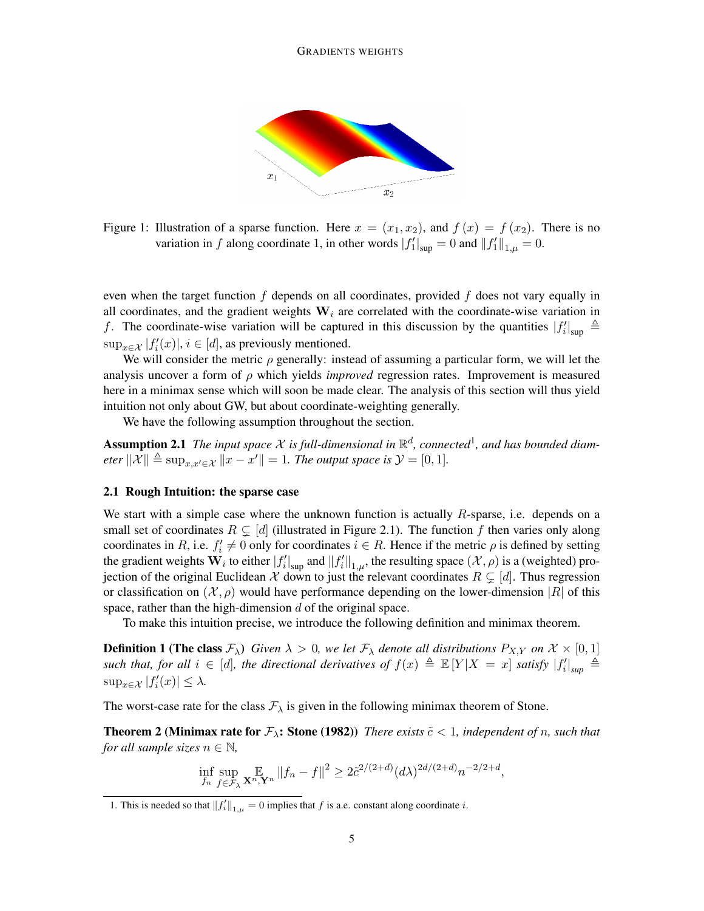

Figure 1: Illustration of a sparse function. Here  $x = (x_1, x_2)$ , and  $f(x) = f(x_2)$ . There is no variation in *f* along coordinate 1, in other words  $|f'_1|_{\text{sup}} = 0$  and  $||f'_1||_{1,\mu} = 0$ .

even when the target function *f* depends on all coordinates, provided *f* does not vary equally in all coordinates, and the gradient weights  $W_i$  are correlated with the coordinate-wise variation in *f*. The coordinate-wise variation will be captured in this discussion by the quantities  $|f'_i|_{\text{sup}} \triangleq$  $\sup_{x \in \mathcal{X}} |f'_i(x)|$ ,  $i \in [d]$ , as previously mentioned.

We will consider the metric *ρ* generally: instead of assuming a particular form, we will let the analysis uncover a form of *ρ* which yields *improved* regression rates. Improvement is measured here in a minimax sense which will soon be made clear. The analysis of this section will thus yield intuition not only about GW, but about coordinate-weighting generally.

We have the following assumption throughout the section.

Assumption 2.1 The input space X is full-dimensional in  $\mathbb{R}^d$ , connected<sup>1</sup>, and has bounded diam*eter*  $\|\mathcal{X}\| \triangleq \sup_{x,x' \in \mathcal{X}} \|x - x'\| = 1$ *. The output space is*  $\mathcal{Y} = [0,1]$ *.* 

#### 2.1 Rough Intuition: the sparse case

We start with a simple case where the unknown function is actually *R*-sparse, i.e. depends on a small set of coordinates  $R \subsetneq [d]$  (illustrated in Figure 2.1). The function f then varies only along coordinates in *R*, i.e.  $f'_i \neq 0$  only for coordinates  $i \in R$ . Hence if the metric  $\rho$  is defined by setting the gradient weights  $W_i$  to either  $|f'_i|_{\text{sup}}$  and  $||f'_i||_{1,\mu}$ , the resulting space  $(\mathcal{X}, \rho)$  is a (weighted) projection of the original Euclidean  $X$  down to just the relevant coordinates  $R \subsetneq [d]$ . Thus regression or classification on  $(\mathcal{X}, \rho)$  would have performance depending on the lower-dimension  $|R|$  of this space, rather than the high-dimension *d* of the original space.

To make this intuition precise, we introduce the following definition and minimax theorem.

**Definition 1 (The class**  $\mathcal{F}_\lambda$ ) Given  $\lambda > 0$ , we let  $\mathcal{F}_\lambda$  denote all distributions  $P_{X,Y}$  on  $\mathcal{X} \times [0,1]$ such that, for all  $i \in [d]$ , the directional derivatives of  $f(x) \triangleq \mathbb{E}[Y|X=x]$  satisfy  $|f'_i|_{sup} \triangleq$  $\sup_{x \in \mathcal{X}} |f'_i(x)| \leq \lambda.$ 

The worst-case rate for the class  $\mathcal{F}_{\lambda}$  is given in the following minimax theorem of Stone.

**Theorem 2 (Minimax rate for**  $\mathcal{F}_{\lambda}$ **: Stone (1982))** *There exists*  $\tilde{c}$  < 1*, independent of n, such that for all sample sizes*  $n \in \mathbb{N}$ ,

$$
\inf_{f_n} \sup_{f \in \mathcal{F}_\lambda} \mathbb{E}_{\mathbf{X}^n, \mathbf{Y}^n} \|f_n - f\|^2 \ge 2\tilde{c}^{2/(2+d)} (d\lambda)^{2d/(2+d)} n^{-2/2+d},
$$

<sup>1.</sup> This is needed so that  $||f_i||_{1,\mu} = 0$  implies that *f* is a.e. constant along coordinate *i*.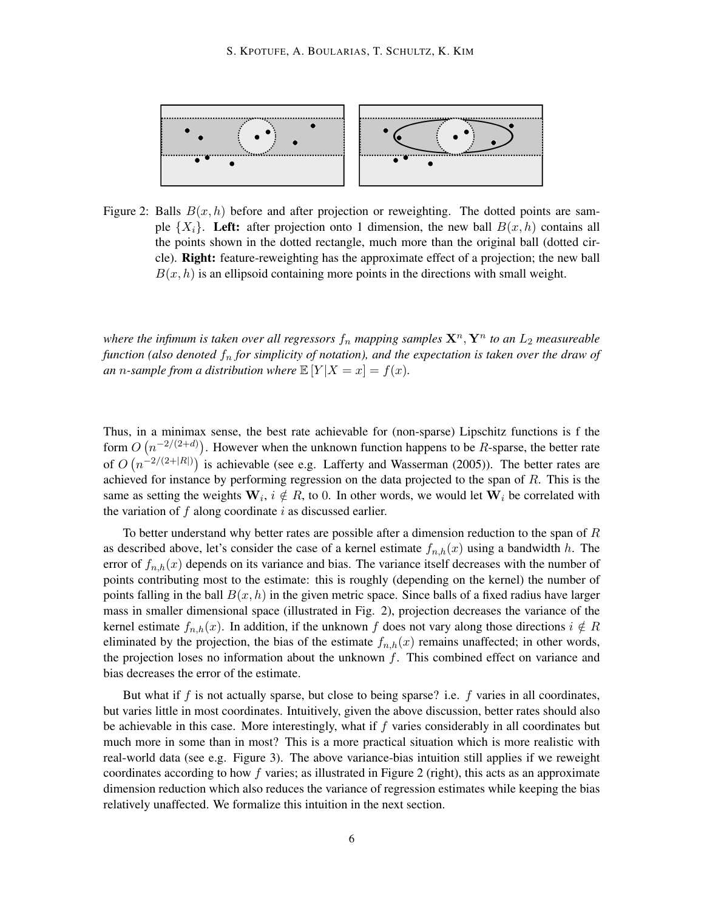

Figure 2: Balls  $B(x, h)$  before and after projection or reweighting. The dotted points are sample  $\{X_i\}$ . Left: after projection onto 1 dimension, the new ball  $B(x, h)$  contains all the points shown in the dotted rectangle, much more than the original ball (dotted circle). Right: feature-reweighting has the approximate effect of a projection; the new ball  $B(x, h)$  is an ellipsoid containing more points in the directions with small weight.

*where the infimum is taken over all regressors*  $f_n$  *mapping samples*  $\mathbf{X}^n, \mathbf{Y}^n$  *to an*  $L_2$  *measureable function (also denoted f<sup>n</sup> for simplicity of notation), and the expectation is taken over the draw of an n*-sample from a distribution where  $\mathbb{E}[Y|X=x] = f(x)$ *.* 

Thus, in a minimax sense, the best rate achievable for (non-sparse) Lipschitz functions is f the form  $O(n^{-2/(2+d)})$ . However when the unknown function happens to be *R*-sparse, the better rate of  $O(n^{-2/(2+|R|)})$  is achievable (see e.g. Lafferty and Wasserman (2005)). The better rates are achieved for instance by performing regression on the data projected to the span of *R*. This is the same as setting the weights  $W_i$ ,  $i \notin R$ , to 0. In other words, we would let  $W_i$  be correlated with the variation of *f* along coordinate *i* as discussed earlier.

To better understand why better rates are possible after a dimension reduction to the span of *R* as described above, let's consider the case of a kernel estimate  $f_{n,h}(x)$  using a bandwidth *h*. The error of  $f_{n,h}(x)$  depends on its variance and bias. The variance itself decreases with the number of points contributing most to the estimate: this is roughly (depending on the kernel) the number of points falling in the ball  $B(x, h)$  in the given metric space. Since balls of a fixed radius have larger mass in smaller dimensional space (illustrated in Fig. 2), projection decreases the variance of the kernel estimate  $f_{n,h}(x)$ . In addition, if the unknown f does not vary along those directions  $i \notin R$ eliminated by the projection, the bias of the estimate  $f_{n,h}(x)$  remains unaffected; in other words, the projection loses no information about the unknown *f*. This combined effect on variance and bias decreases the error of the estimate.

But what if *f* is not actually sparse, but close to being sparse? i.e. *f* varies in all coordinates, but varies little in most coordinates. Intuitively, given the above discussion, better rates should also be achievable in this case. More interestingly, what if *f* varies considerably in all coordinates but much more in some than in most? This is a more practical situation which is more realistic with real-world data (see e.g. Figure 3). The above variance-bias intuition still applies if we reweight coordinates according to how *f* varies; as illustrated in Figure 2 (right), this acts as an approximate dimension reduction which also reduces the variance of regression estimates while keeping the bias relatively unaffected. We formalize this intuition in the next section.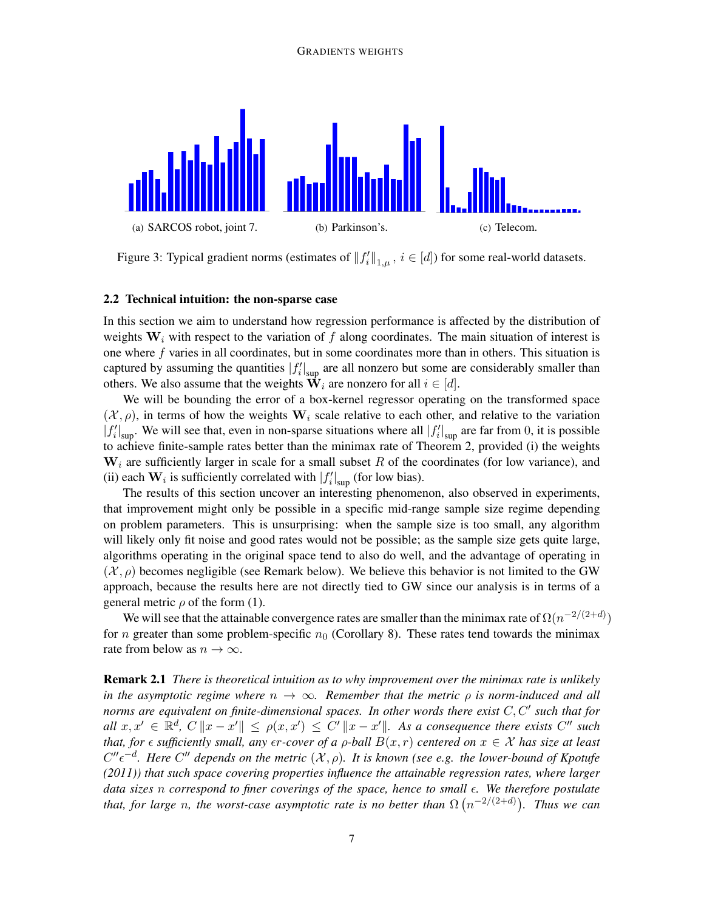#### GRADIENTS WEIGHTS



Figure 3: Typical gradient norms (estimates of  $||f_i'||_{1,\mu}$ ,  $i \in [d]$ ) for some real-world datasets.

### 2.2 Technical intuition: the non-sparse case

In this section we aim to understand how regression performance is affected by the distribution of weights  $W_i$  with respect to the variation of f along coordinates. The main situation of interest is one where *f* varies in all coordinates, but in some coordinates more than in others. This situation is captured by assuming the quantities  $|f'_i|_{\text{sup}}$  are all nonzero but some are considerably smaller than others. We also assume that the weights  $\mathbf{W}_i$  are nonzero for all  $i \in [d]$ .

We will be bounding the error of a box-kernel regressor operating on the transformed space  $(\mathcal{X}, \rho)$ , in terms of how the weights  $W_i$  scale relative to each other, and relative to the variation  $|f'_i|_{\text{sup}}$ . We will see that, even in non-sparse situations where all  $|f'_i|_{\text{sup}}$  are far from 0, it is possible to achieve finite-sample rates better than the minimax rate of Theorem 2, provided (i) the weights **W***<sup>i</sup>* are sufficiently larger in scale for a small subset *R* of the coordinates (for low variance), and (ii) each  $W_i$  is sufficiently correlated with  $|f'_i|_{\text{sup}}$  (for low bias).

The results of this section uncover an interesting phenomenon, also observed in experiments, that improvement might only be possible in a specific mid-range sample size regime depending on problem parameters. This is unsurprising: when the sample size is too small, any algorithm will likely only fit noise and good rates would not be possible; as the sample size gets quite large, algorithms operating in the original space tend to also do well, and the advantage of operating in  $(\mathcal{X}, \rho)$  becomes negligible (see Remark below). We believe this behavior is not limited to the GW approach, because the results here are not directly tied to GW since our analysis is in terms of a general metric  $\rho$  of the form (1).

We will see that the attainable convergence rates are smaller than the minimax rate of  $\Omega(n^{-2/(2+d)})$ for *n* greater than some problem-specific  $n_0$  (Corollary 8). These rates tend towards the minimax rate from below as  $n \to \infty$ .

Remark 2.1 *There is theoretical intuition as to why improvement over the minimax rate is unlikely in the asymptotic regime where*  $n \to \infty$ *. Remember that the metric*  $\rho$  *is norm-induced and all norms are equivalent on finite-dimensional spaces. In other words there exist*  $C, C'$  such that for all  $x, x' \in \mathbb{R}^d$ ,  $C \|x - x'\| \le \rho(x, x') \le C' \|x - x'\|$ . As a consequence there exists  $C''$  such *that, for*  $\epsilon$  *sufficiently small, any*  $\epsilon r$ *-cover of a*  $\rho$ *-ball*  $B(x, r)$  *centered on*  $x \in \mathcal{X}$  *has size at least*  $C''\epsilon^{-d}$ . Here  $C''$  depends on the metric  $(\mathcal{X}, \rho)$ . It is known (see e.g. the lower-bound of Kpotufe *(2011)) that such space covering properties influence the attainable regression rates, where larger data sizes n correspond to finer coverings of the space, hence to small . We therefore postulate that, for large n, the worst-case asymptotic rate is no better than*  $\Omega$   $(n^{-2/(2+d)})$ *. Thus we can*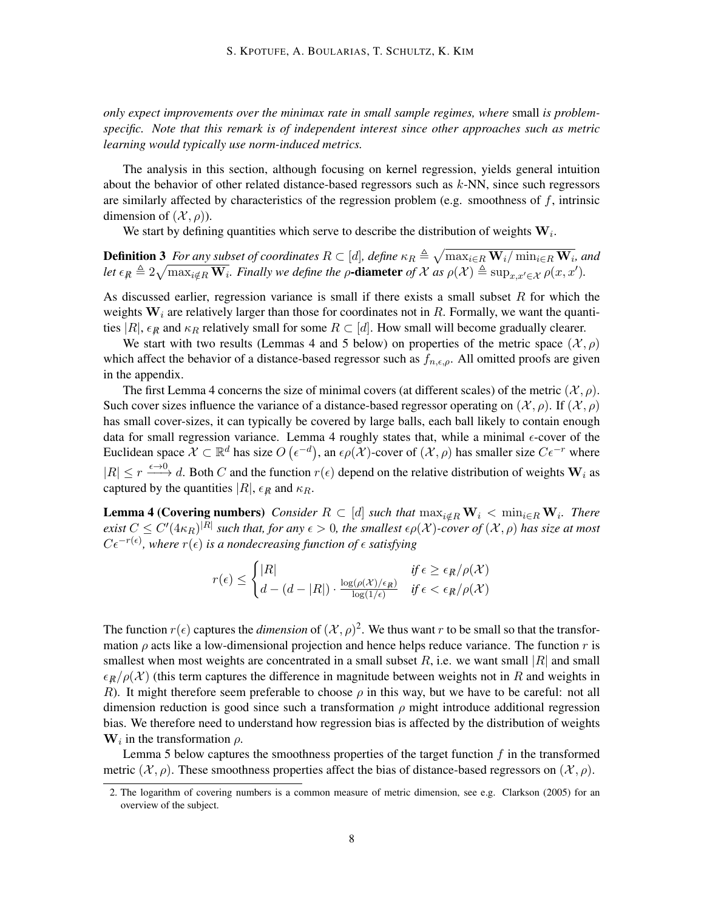*only expect improvements over the minimax rate in small sample regimes, where* small *is problemspecific. Note that this remark is of independent interest since other approaches such as metric learning would typically use norm-induced metrics.*

The analysis in this section, although focusing on kernel regression, yields general intuition about the behavior of other related distance-based regressors such as *k*-NN, since such regressors are similarly affected by characteristics of the regression problem (e.g. smoothness of *f*, intrinsic dimension of  $(\mathcal{X}, \rho)$ ).

We start by defining quantities which serve to describe the distribution of weights **W***<sup>i</sup>* .

**Definition 3** For any subset of coordinates  $R\subset [d]$ , define  $\kappa_R\triangleq\sqrt{\max_{i\in R}{\bf W}_i}/\min_{i\in R}{\bf W}_i$ , and Let  $\epsilon_{\mathcal{R}} \triangleq 2\sqrt{\max_{i \notin R} \mathbf{W}_i}$ . Finally we define the  $\rho$ -diameter of X as  $\rho(\mathcal{X}) \triangleq \sup_{x,x' \in \mathcal{X}} \rho(x,x').$ 

As discussed earlier, regression variance is small if there exists a small subset *R* for which the weights **W***<sup>i</sup>* are relatively larger than those for coordinates not in *R*. Formally, we want the quantities  $|R|$ ,  $\epsilon_R$  and  $\kappa_R$  relatively small for some  $R \subset [d]$ . How small will become gradually clearer.

We start with two results (Lemmas 4 and 5 below) on properties of the metric space  $(\mathcal{X}, \rho)$ which affect the behavior of a distance-based regressor such as  $f_{n,\epsilon,\rho}$ . All omitted proofs are given in the appendix.

The first Lemma 4 concerns the size of minimal covers (at different scales) of the metric  $(\mathcal{X}, \rho)$ . Such cover sizes influence the variance of a distance-based regressor operating on  $(\mathcal{X}, \rho)$ . If  $(\mathcal{X}, \rho)$ has small cover-sizes, it can typically be covered by large balls, each ball likely to contain enough data for small regression variance. Lemma 4 roughly states that, while a minimal  $\epsilon$ -cover of the Euclidean space  $X \subset \mathbb{R}^d$  has size  $O(\epsilon^{-d})$ , an  $\epsilon \rho(X)$ -cover of  $(X, \rho)$  has smaller size  $C\epsilon^{-r}$  where  $|R| \leq r \xrightarrow{\epsilon \to 0} d$ . Both *C* and the function  $r(\epsilon)$  depend on the relative distribution of weights  $W_i$  as captured by the quantities  $|R|$ ,  $\epsilon_R$  and  $\kappa_R$ .

**Lemma 4 (Covering numbers)** Consider  $R \subset [d]$  such that  $\max_{i \notin R} \mathbf{W}_i < \min_{i \in R} \mathbf{W}_i$ . There exist  $C\leq C'(4\kappa_R)^{|R|}$  such that, for any  $\epsilon>0,$  the smallest  $\epsilon\rho(\mathcal{X})$ -cover of  $(\mathcal{X},\rho)$  has size at most  $C\epsilon^{-r(\epsilon)}$ , where  $r(\epsilon)$  *is a nondecreasing function of*  $\epsilon$  *satisfying* 

$$
r(\epsilon) \le \begin{cases} |R| & \text{if } \epsilon \ge \epsilon_{R}/\rho(\mathcal{X})\\ d - (d - |R|) \cdot \frac{\log(\rho(\mathcal{X})/\epsilon_{R})}{\log(1/\epsilon)} & \text{if } \epsilon < \epsilon_{R}/\rho(\mathcal{X}) \end{cases}
$$

The function  $r(\epsilon)$  captures the *dimension* of  $(\mathcal{X}, \rho)^2$ . We thus want r to be small so that the transformation  $\rho$  acts like a low-dimensional projection and hence helps reduce variance. The function  $r$  is smallest when most weights are concentrated in a small subset  $R$ , i.e. we want small  $|R|$  and small  $\epsilon_R/\rho(X)$  (this term captures the difference in magnitude between weights not in *R* and weights in *R*). It might therefore seem preferable to choose *ρ* in this way, but we have to be careful: not all dimension reduction is good since such a transformation  $\rho$  might introduce additional regression bias. We therefore need to understand how regression bias is affected by the distribution of weights  $W_i$  in the transformation  $\rho$ .

Lemma 5 below captures the smoothness properties of the target function *f* in the transformed metric  $(\mathcal{X}, \rho)$ . These smoothness properties affect the bias of distance-based regressors on  $(\mathcal{X}, \rho)$ .

<sup>2.</sup> The logarithm of covering numbers is a common measure of metric dimension, see e.g. Clarkson (2005) for an overview of the subject.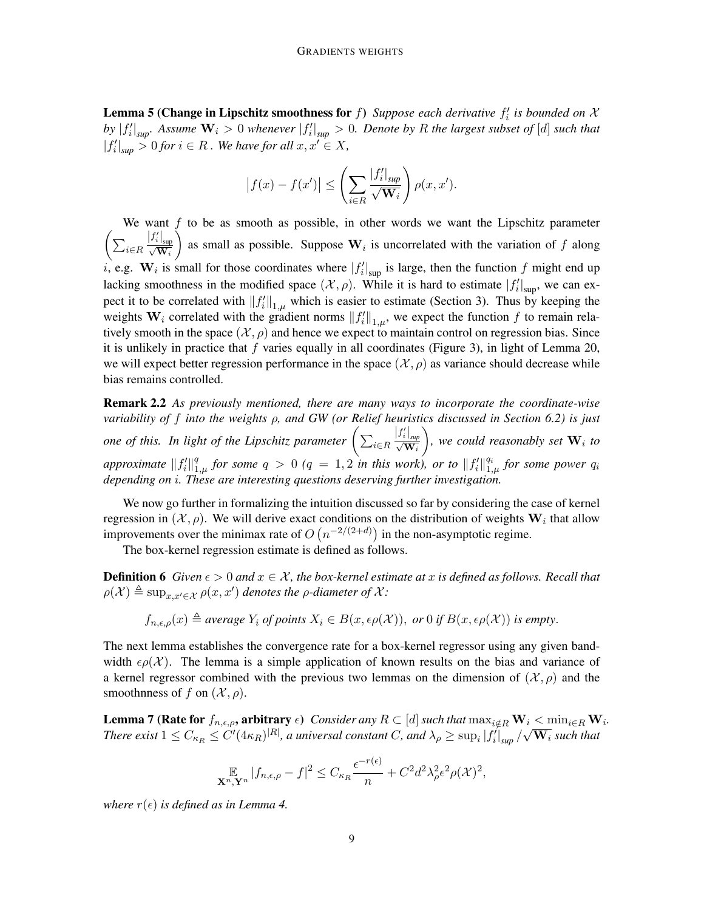**Lemma 5 (Change in Lipschitz smoothness for**  $f$ ) *Suppose each derivative*  $f'_i$  *is bounded on*  $\mathcal{X}$ by  $|f'_i|_{sup}$ . Assume  $W_i > 0$  whenever  $|f'_i|_{sup} > 0$ . Denote by R the largest subset of [d] such that  $|f'_i|_{\text{sup}} > 0$  for  $i \in R$ . We have for all  $x, x' \in X$ ,

$$
\left|f(x) - f(x')\right| \le \left(\sum_{i \in R} \frac{|f'_i|_{\sup}}{\sqrt{\mathbf{W}_i}}\right) \rho(x, x').
$$

We want *f* to be as smooth as possible, in other words we want the Lipschitz parameter  $\left( \sum_{i \in R} \right)$  $\frac{\left|f_{i}^{\prime}\right|_{\sup}}{\sqrt{\mathbf{W}_{i}}}$ as small as possible. Suppose  $W_i$  is uncorrelated with the variation of f along *i*, e.g.  $W_i$  is small for those coordinates where  $|f'_i|_{\text{sup}}$  is large, then the function *f* might end up lacking smoothness in the modified space  $(\mathcal{X}, \rho)$ . While it is hard to estimate  $|f'_i|_{\text{sup}}$ , we can expect it to be correlated with  $||f_i'||_{1,\mu}$  which is easier to estimate (Section 3). Thus by keeping the weights  $W_i$  correlated with the gradient norms  $||f'_i||_{1,\mu}$ , we expect the function f to remain relatively smooth in the space  $(\mathcal{X}, \rho)$  and hence we expect to maintain control on regression bias. Since it is unlikely in practice that *f* varies equally in all coordinates (Figure 3), in light of Lemma 20, we will expect better regression performance in the space  $(\mathcal{X}, \rho)$  as variance should decrease while bias remains controlled.

Remark 2.2 *As previously mentioned, there are many ways to incorporate the coordinate-wise variability of f into the weights ρ, and GW (or Relief heuristics discussed in Section 6.2) is just one of this. In light of the Lipschitz parameter*  $\left( \sum_{i \in R} \right)$  $\frac{|f'_i|}{\sqrt{\mathbf{W}_i}}$  $\bigg)$ , we could reasonably set  $\mathbf{W}_i$  to *approximate*  $||f'_i||_1^q$  $\int_{1,\mu}^{q}$  *for some*  $q > 0$  ( $q = 1,2$  *in this work), or to*  $||f'_{i}||_{1,\mu}^{q_{i}}$  $_{1,\mu}^{q_i}$  *for some power*  $q_i$ *depending on i. These are interesting questions deserving further investigation.*

We now go further in formalizing the intuition discussed so far by considering the case of kernel regression in  $(\mathcal{X}, \rho)$ . We will derive exact conditions on the distribution of weights  $\mathbf{W}_i$  that allow improvements over the minimax rate of  $O(n^{-2/(2+d)})$  in the non-asymptotic regime.

The box-kernel regression estimate is defined as follows.

**Definition 6** *Given*  $\epsilon > 0$  *and*  $x \in \mathcal{X}$ *, the box-kernel estimate at x is defined as follows. Recall that*  $\rho(\mathcal{X}) \triangleq \sup_{x,x'\in\mathcal{X}} \rho(x,x')$  denotes the *ρ*-diameter of  $\mathcal{X}$ :

$$
f_{n,\epsilon,\rho}(x) \triangleq
$$
 *average*  $Y_i$  *of points*  $X_i \in B(x,\epsilon\rho(X)),$  *or* 0 *if*  $B(x,\epsilon\rho(X))$  *is empty.*

The next lemma establishes the convergence rate for a box-kernel regressor using any given bandwidth  $\epsilon \rho(\mathcal{X})$ . The lemma is a simple application of known results on the bias and variance of a kernel regressor combined with the previous two lemmas on the dimension of  $(\mathcal{X}, \rho)$  and the smoothnness of *f* on  $(\mathcal{X}, \rho)$ .

**Lemma 7 (Rate for**  $f_{n,\epsilon,\rho}$ , arbitrary  $\epsilon$ ) Consider any  $R\subset [d]$  such that  $\max_{i\notin R} \mathbf{W}_i < \min_{i\in R} \mathbf{W}_i$ . **Lemma** *I* (**Rate for**  $f_{n,\epsilon,\rho}$ , a but at  $y \epsilon$ ) Consider any  $\Lambda \subset [a]$  such that  $\max_{i \notin R} w_i < \min_{i \in R} w_i$ <br>There exist  $1 \leq C_{\kappa_R} \leq C' (4 \kappa_R)^{|R|}$ , a universal constant *C*, and  $\lambda_\rho \geq \sup_i |f'_i|_{sup}/\sqrt{W_i}$  such that

$$
\mathop{\mathbb{E}}_{\mathbf{X}^n,\mathbf{Y}^n} |f_{n,\epsilon,\rho} - f|^2 \leq C_{\kappa_R} \frac{\epsilon^{-r(\epsilon)}}{n} + C^2 d^2 \lambda_\rho^2 \epsilon^2 \rho(\mathcal{X})^2,
$$

*where*  $r(\epsilon)$  *is defined as in Lemma 4.*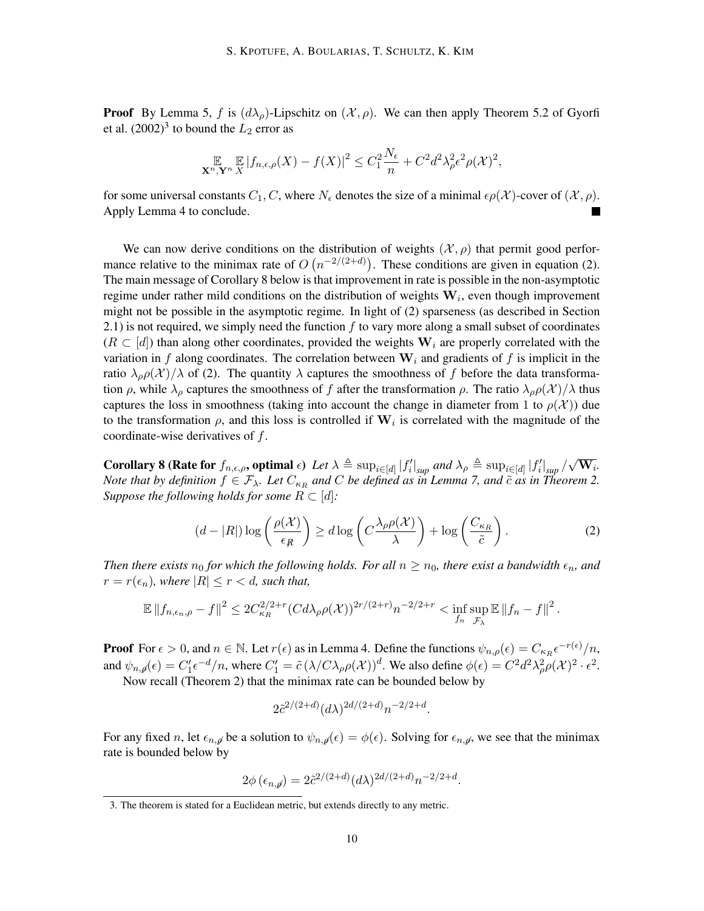**Proof** By Lemma 5, *f* is  $(d\lambda_\rho)$ -Lipschitz on  $(\mathcal{X}, \rho)$ . We can then apply Theorem 5.2 of Gyorfi et al.  $(2002)^3$  to bound the  $L_2$  error as

$$
\mathop{\mathbb{E}}_{\mathbf{X}^n,\mathbf{Y}^n}\mathop{\mathbb{E}}_{X}|f_{n,\epsilon,\rho}(X)-f(X)|^2 \leq C_1^2\frac{N_{\epsilon}}{n}+C^2d^2\lambda_{\rho}^2\epsilon^2\rho(\mathcal{X})^2,
$$

for some universal constants  $C_1$ ,  $C$ , where  $N_\epsilon$  denotes the size of a minimal  $\epsilon \rho(\mathcal{X})$ -cover of  $(\mathcal{X}, \rho)$ . Apply Lemma 4 to conclude.

We can now derive conditions on the distribution of weights  $(\mathcal{X}, \rho)$  that permit good performance relative to the minimax rate of  $O(n^{-2/(2+d)})$ . These conditions are given in equation (2). The main message of Corollary 8 below is that improvement in rate is possible in the non-asymptotic regime under rather mild conditions on the distribution of weights **W***<sup>i</sup>* , even though improvement might not be possible in the asymptotic regime. In light of (2) sparseness (as described in Section 2.1) is not required, we simply need the function *f* to vary more along a small subset of coordinates (*R ⊂* [*d*]) than along other coordinates, provided the weights **W***<sup>i</sup>* are properly correlated with the variation in *f* along coordinates. The correlation between  $W_i$  and gradients of *f* is implicit in the ratio  $\lambda_{\rho}\rho(\mathcal{X})/\lambda$  of (2). The quantity  $\lambda$  captures the smoothness of f before the data transformation  $\rho$ , while  $\lambda_\rho$  captures the smoothness of *f* after the transformation  $\rho$ . The ratio  $\lambda_\rho \rho(\mathcal{X})/\lambda$  thus captures the loss in smoothness (taking into account the change in diameter from 1 to  $\rho(\mathcal{X})$ ) due to the transformation  $\rho$ , and this loss is controlled if  $W_i$  is correlated with the magnitude of the coordinate-wise derivatives of *f*.

**Corollary 8 (Rate for**  $f_{n,\epsilon,\rho}$ , optimal  $\epsilon$ ) Let  $\lambda \triangleq \sup_{i \in [d]} |f'_i|_{sup}$  and  $\lambda_\rho \triangleq \sup_{i \in [d]} |f'_i|_{sup} / \sqrt{\mathbf{W}_i}$ . *Note that by definition*  $f \in \mathcal{F}_{\lambda}$ . Let  $C_{\kappa_R}$  and  $C$  be defined as in Lemma 7, and  $\tilde{c}$  as in Theorem 2. *Suppose the following holds for some*  $R \subset [d]$ :

$$
(d - |R|) \log \left( \frac{\rho(\mathcal{X})}{\epsilon_R} \right) \ge d \log \left( C \frac{\lambda_\rho \rho(\mathcal{X})}{\lambda} \right) + \log \left( \frac{C_{\kappa_R}}{\tilde{c}} \right). \tag{2}
$$

*Then there exists*  $n_0$  *for which the following holds. For all*  $n \geq n_0$ *, there exist a bandwidth*  $\epsilon_n$ *, and*  $r = r(\epsilon_n)$ , where  $|R| \leq r < d$ , such that,

$$
\mathbb{E} \|f_{n,\epsilon_n,\rho} - f\|^2 \leq 2C_{\kappa_R}^{2/2+r} (C d\lambda_\rho \rho(\mathcal{X}))^{2r/(2+r)} n^{-2/2+r} < \inf_{f_n} \sup_{\mathcal{F}_{\lambda}} \mathbb{E} \|f_n - f\|^2.
$$

**Proof** For  $\epsilon > 0$ , and  $n \in \mathbb{N}$ . Let  $r(\epsilon)$  as in Lemma 4. Define the functions  $\psi_{n,\rho}(\epsilon) = C_{\kappa_R} \epsilon^{-r(\epsilon)}/n$ , and  $\psi_{n,\cancel{p}}(\epsilon) = C_1' \epsilon^{-d}/n$ , where  $C_1' = \tilde{c} (\lambda/C\lambda_{\rho}\rho(\mathcal{X}))^d$ . We also define  $\phi(\epsilon) = C^2 d^2 \lambda_{\rho}^2 \rho(\mathcal{X})^2 \cdot \epsilon^2$ .

Now recall (Theorem 2) that the minimax rate can be bounded below by

$$
2\tilde{c}^{2/(2+d)}(d\lambda)^{2d/(2+d)}n^{-2/2+d}.
$$

For any fixed *n*, let  $\epsilon_{n,\emptyset}$  be a solution to  $\psi_{n,\emptyset}(\epsilon) = \phi(\epsilon)$ . Solving for  $\epsilon_{n,\emptyset}$ , we see that the minimax rate is bounded below by

$$
2\phi\left(\epsilon_{n,d}\right) = 2\tilde{c}^{2/(2+d)}(d\lambda)^{2d/(2+d)}n^{-2/2+d}.
$$

<sup>3.</sup> The theorem is stated for a Euclidean metric, but extends directly to any metric.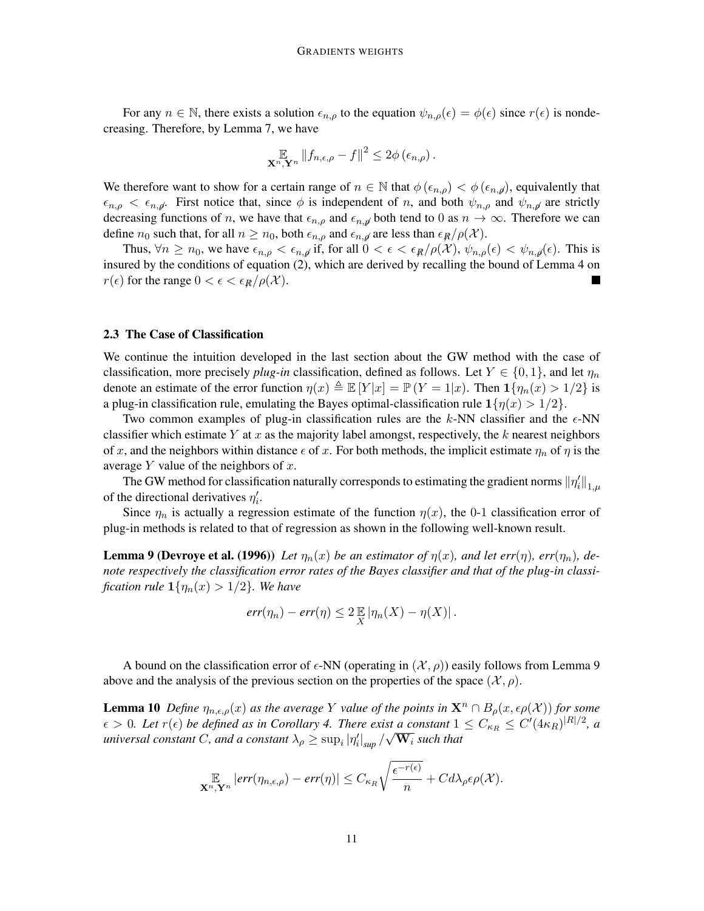For any  $n \in \mathbb{N}$ , there exists a solution  $\epsilon_{n,\rho}$  to the equation  $\psi_{n,\rho}(\epsilon) = \phi(\epsilon)$  since  $r(\epsilon)$  is nondecreasing. Therefore, by Lemma 7, we have

$$
\mathop{\mathbb{E}}_{\mathbf{X}^n,\mathbf{Y}^n} \|f_{n,\epsilon,\rho} - f\|^2 \leq 2\phi\left(\epsilon_{n,\rho}\right).
$$

We therefore want to show for a certain range of  $n \in \mathbb{N}$  that  $\phi(\epsilon_{n,\rho}) < \phi(\epsilon_{n,\rho})$ , equivalently that  $\epsilon_{n,\rho} < \epsilon_{n,\rho}$ . First notice that, since  $\phi$  is independent of *n*, and both  $\psi_{n,\rho}$  and  $\psi_{n,\rho}$  are strictly decreasing functions of *n*, we have that  $\epsilon_{n,\rho}$  and  $\epsilon_{n,\rho}$  both tend to 0 as  $n \to \infty$ . Therefore we can define *n*<sub>0</sub> such that, for all  $n \ge n_0$ , both  $\epsilon_{n,\rho}$  and  $\epsilon_{n,\rho}$  are less than  $\epsilon_R/\rho(\mathcal{X})$ .

Thus,  $\forall n \geq n_0$ , we have  $\epsilon_{n,\rho} < \epsilon_{n,\rho}$  if, for all  $0 < \epsilon < \epsilon_R/\rho(\mathcal{X})$ ,  $\psi_{n,\rho}(\epsilon) < \psi_{n,\rho}(\epsilon)$ . This is insured by the conditions of equation (2), which are derived by recalling the bound of Lemma 4 on *r*( $\epsilon$ ) for the range  $0 < \epsilon < \epsilon_R/\rho(\mathcal{X})$ .

### 2.3 The Case of Classification

We continue the intuition developed in the last section about the GW method with the case of classification, more precisely *plug-in* classification, defined as follows. Let  $Y \in \{0, 1\}$ , and let  $\eta_n$ denote an estimate of the error function  $\eta(x) \triangleq \mathbb{E}[Y|x] = \mathbb{P}(Y=1|x)$ . Then  $\mathbf{1}{\{\eta_n(x) > 1/2\}}$  is a plug-in classification rule, emulating the Bayes optimal-classification rule  $1\{\eta(x) > 1/2\}$ .

Two common examples of plug-in classification rules are the  $k$ -NN classifier and the  $\epsilon$ -NN classifier which estimate *Y* at *x* as the majority label amongst, respectively, the *k* nearest neighbors of *x*, and the neighbors within distance  $\epsilon$  of *x*. For both methods, the implicit estimate  $\eta_n$  of  $\eta$  is the average *Y* value of the neighbors of *x*.

The GW method for classification naturally corresponds to estimating the gradient norms  $\|\eta_i'\|_{1,\mu}$ of the directional derivatives  $\eta_i'$ .

Since  $\eta_n$  is actually a regression estimate of the function  $\eta(x)$ , the 0-1 classification error of plug-in methods is related to that of regression as shown in the following well-known result.

**Lemma 9 (Devroye et al. (1996))** Let  $\eta_n(x)$  be an estimator of  $\eta(x)$ , and let err $(\eta)$ , err $(\eta_n)$ , de*note respectively the classification error rates of the Bayes classifier and that of the plug-in classification rule*  $\mathbf{1}\{\eta_n(x) > 1/2\}$ *. We have* 

$$
err(\eta_n) - err(\eta) \leq 2 \mathbb{E} |\eta_n(X) - \eta(X)|.
$$

A bound on the classification error of  $\epsilon$ -NN (operating in  $(\mathcal{X}, \rho)$ ) easily follows from Lemma 9 above and the analysis of the previous section on the properties of the space  $(\mathcal{X}, \rho)$ .

**Lemma 10** *Define*  $\eta_{n,\epsilon,\rho}(x)$  *as the average Y value of the points in*  $\mathbf{X}^n \cap B_\rho(x,\epsilon \rho(\mathcal{X}))$  *for some*  $\epsilon > 0$ . Let  $r(\epsilon)$  be defined as in Corollary 4. There exist a constant  $1 \leq C_{\kappa_R} \leq C'(4\kappa_R)^{|R|/2}$ , a  $\epsilon > 0$ . Let  $\tau(\epsilon)$  be defined as in Corollary 4. There exist a constant 1 universal constant *C*, and a constant  $\lambda_{\rho} \ge \sup_i |\eta'_i|_{sup}/\sqrt{W_i}$  such that

$$
\mathop{\mathbb{E}}_{\mathbf{X}^n, \mathbf{Y}^n} |err(\eta_{n,\epsilon,\rho}) - err(\eta)| \leq C_{\kappa_R} \sqrt{\frac{\epsilon^{-r(\epsilon)}}{n}} + C d\lambda_\rho \epsilon \rho(\mathcal{X}).
$$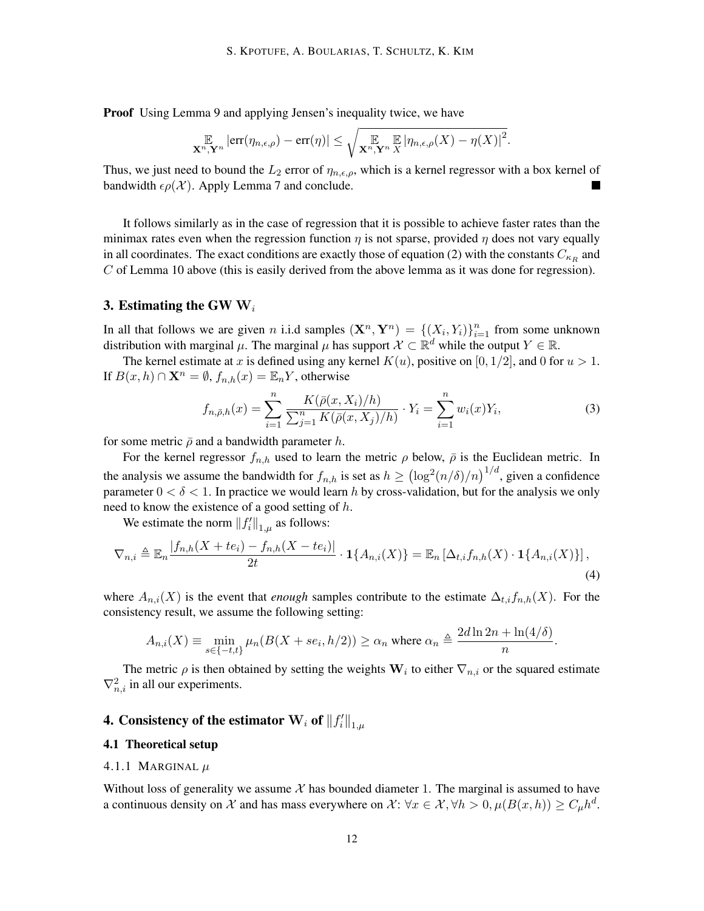Proof Using Lemma 9 and applying Jensen's inequality twice, we have

$$
\mathop{\mathbb{E}}_{\mathbf{X}^n,\mathbf{Y}^n} \left| \text{err}(\eta_{n,\epsilon,\rho}) - \text{err}(\eta) \right| \leq \sqrt{\mathop{\mathbb{E}}_{\mathbf{X}^n,\mathbf{Y}^n} \mathop{\mathbb{E}}_{X} |\eta_{n,\epsilon,\rho}(X) - \eta(X)|^2}.
$$

Thus, we just need to bound the  $L_2$  error of  $\eta_{n,\epsilon,\rho}$ , which is a kernel regressor with a box kernel of bandwidth  $\epsilon \rho(\mathcal{X})$ . Apply Lemma 7 and conclude.

It follows similarly as in the case of regression that it is possible to achieve faster rates than the minimax rates even when the regression function  $\eta$  is not sparse, provided  $\eta$  does not vary equally in all coordinates. The exact conditions are exactly those of equation (2) with the constants  $C_{\kappa_R}$  and *C* of Lemma 10 above (this is easily derived from the above lemma as it was done for regression).

# 3. Estimating the GW **W***<sup>i</sup>*

In all that follows we are given *n* i.i.d samples  $(\mathbf{X}^n, \mathbf{Y}^n) = \{ (X_i, Y_i) \}_{i=1}^n$  from some unknown distribution with marginal  $\mu$ . The marginal  $\mu$  has support  $\mathcal{X} \subset \mathbb{R}^d$  while the output  $Y \in \mathbb{R}$ .

The kernel estimate at *x* is defined using any kernel  $K(u)$ , positive on [0, 1/2], and 0 for  $u > 1$ . If  $B(x, h)$  ∩  $\mathbf{X}^n = \emptyset$ ,  $f_{n,h}(x) = \mathbb{E}_n Y$ , otherwise

$$
f_{n,\bar{\rho},h}(x) = \sum_{i=1}^{n} \frac{K(\bar{\rho}(x, X_i)/h)}{\sum_{j=1}^{n} K(\bar{\rho}(x, X_j)/h)} \cdot Y_i = \sum_{i=1}^{n} w_i(x) Y_i,
$$
 (3)

for some metric  $\bar{\rho}$  and a bandwidth parameter *h*.

For the kernel regressor  $f_{n,h}$  used to learn the metric  $\rho$  below,  $\bar{\rho}$  is the Euclidean metric. In the analysis we assume the bandwidth for  $f_{n,h}$  is set as  $h \geq (\log^2(n/\delta)/n)^{1/d}$ , given a confidence parameter  $0 < \delta < 1$ . In practice we would learn *h* by cross-validation, but for the analysis we only need to know the existence of a good setting of *h*.

We estimate the norm  $||f_i'||_{1,\mu}$  as follows:

$$
\nabla_{n,i} \triangleq \mathbb{E}_n \frac{|f_{n,h}(X+te_i)-f_{n,h}(X-te_i)|}{2t} \cdot \mathbf{1}\{A_{n,i}(X)\} = \mathbb{E}_n \left[\Delta_{t,i}f_{n,h}(X)\cdot \mathbf{1}\{A_{n,i}(X)\}\right],\tag{4}
$$

where  $A_{n,i}(X)$  is the event that *enough* samples contribute to the estimate  $\Delta_{t,i} f_{n,h}(X)$ . For the consistency result, we assume the following setting:

$$
A_{n,i}(X) \equiv \min_{s \in \{-t,t\}} \mu_n(B(X + s e_i, h/2)) \ge \alpha_n \text{ where } \alpha_n \triangleq \frac{2d \ln 2n + \ln(4/\delta)}{n}.
$$

The metric  $\rho$  is then obtained by setting the weights  $W_i$  to either  $\nabla_{n,i}$  or the squared estimate  $\nabla^2_{n,i}$  in all our experiments.

# 4. Consistency of the estimator  $\mathbf{W}_i$  of  $\left\|f_i'\right\|_{1,\mu}$

#### 4.1 Theoretical setup

#### 4.1.1 MARGINAL *µ*

Without loss of generality we assume  $X$  has bounded diameter 1. The marginal is assumed to have a continuous density on *X* and has mass everywhere on *X*:  $\forall x \in X, \forall h > 0, \mu(B(x, h)) \ge C_{\mu}h^d$ .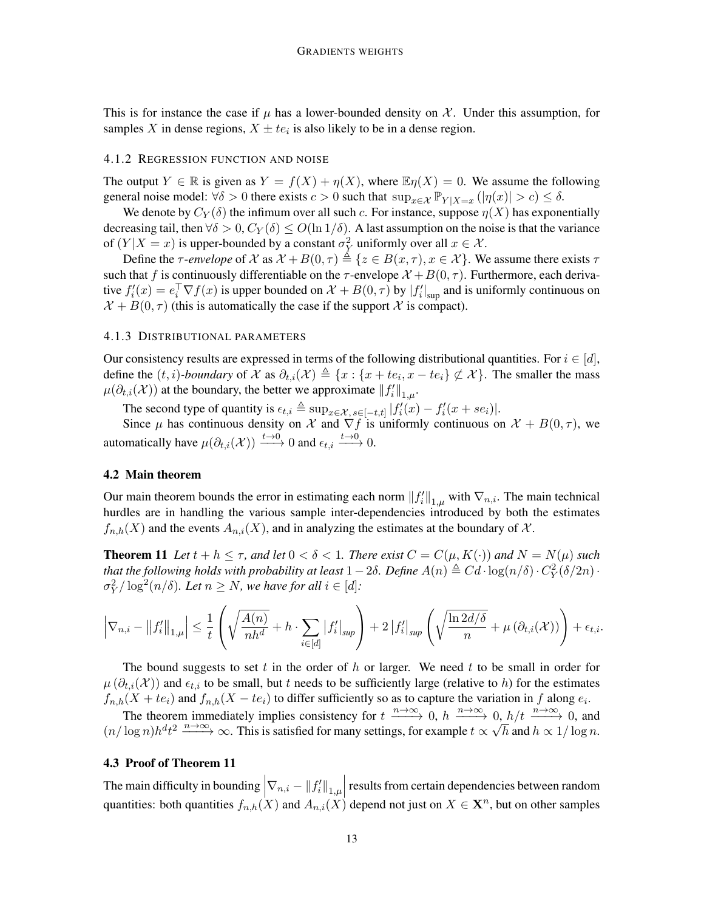This is for instance the case if  $\mu$  has a lower-bounded density on  $\mathcal{X}$ . Under this assumption, for samples *X* in dense regions,  $X \pm te_i$  is also likely to be in a dense region.

## 4.1.2 REGRESSION FUNCTION AND NOISE

The output  $Y \in \mathbb{R}$  is given as  $Y = f(X) + \eta(X)$ , where  $\mathbb{E} \eta(X) = 0$ . We assume the following general noise model:  $\forall \delta > 0$  there exists  $c > 0$  such that  $\sup_{x \in \mathcal{X}} \mathbb{P}_{Y|X=x} (\vert \eta(x) \vert > c) \leq \delta$ .

We denote by  $C_Y(\delta)$  the infimum over all such *c*. For instance, suppose  $\eta(X)$  has exponentially decreasing tail, then  $\forall \delta > 0$ ,  $C_Y(\delta) \leq O(\ln 1/\delta)$ . A last assumption on the noise is that the variance of  $(Y|X=x)$  is upper-bounded by a constant  $\sigma_Y^2$  uniformly over all  $x \in \mathcal{X}$ .

Define the *τ*-*envelope* of *X* as  $X + B(0, \tau) \triangleq \{z \in B(x, \tau), x \in X\}$ . We assume there exists  $\tau$ such that *f* is continuously differentiable on the  $\tau$ -envelope  $\mathcal{X} + B(0, \tau)$ . Furthermore, each derivative  $f_i'(x) = e_i^{\top} \nabla f(x)$  is upper bounded on  $\mathcal{X} + B(0, \tau)$  by  $|f_i'|_{\text{sup}}$  and is uniformly continuous on  $\mathcal{X} + B(0, \tau)$  (this is automatically the case if the support  $\mathcal{X}$  is compact).

#### 4.1.3 DISTRIBUTIONAL PARAMETERS

Our consistency results are expressed in terms of the following distributional quantities. For  $i \in [d]$ , define the  $(t, i)$ -boundary of  $\mathcal X$  as  $\partial_{t,i}(\mathcal X) \triangleq \{x : \{x + te_i, x - te_i\} \not\subset \mathcal X\}$ . The smaller the mass *µ*( $\partial_{t,i}$ (*X*)) at the boundary, the better we approximate  $||f'_i||_{1,\mu}$ .

The second type of quantity is  $\epsilon_{t,i} \triangleq \sup_{x \in \mathcal{X}, s \in [-t,t]} |f_i'(x) - f_i'(x + s e_i)|$ .

Since  $\mu$  has continuous density on  $\mathcal X$  and  $\nabla f$  is uniformly continuous on  $\mathcal X + B(0, \tau)$ , we automatically have  $\mu(\partial_{t,i}(\mathcal{X})) \xrightarrow{t \to 0} 0$  and  $\epsilon_{t,i} \xrightarrow{t \to 0} 0$ .

#### 4.2 Main theorem

Our main theorem bounds the error in estimating each norm  $||f'_i||_{1,\mu}$  with  $\nabla_{n,i}$ . The main technical hurdles are in handling the various sample inter-dependencies introduced by both the estimates  $f_{n,h}(X)$  and the events  $A_{n,i}(X)$ , and in analyzing the estimates at the boundary of X.

**Theorem 11** Let  $t + h \leq \tau$ , and let  $0 < \delta < 1$ . There exist  $C = C(\mu, K(\cdot))$  and  $N = N(\mu)$  such *that the following holds with probability at least*  $1-2\delta$ *. Define*  $A(n)\triangleq Cd\cdot \log(n/\delta)\cdot C_Y^2(\delta/2n)\cdot$  $\sigma_Y^2 / \log^2(n/\delta)$ *. Let*  $n \geq N$ *, we have for all*  $i \in [d]$ *:* 

$$
\left|\nabla_{n,i} - \left\|f'_i\right\|_{1,\mu}\right| \leq \frac{1}{t} \left(\sqrt{\frac{A(n)}{nh^d}} + h \cdot \sum_{i \in [d]} |f'_i|_{sup}\right) + 2\left|f'_i\right|_{sup} \left(\sqrt{\frac{\ln 2d/\delta}{n}} + \mu\left(\partial_{t,i}(\mathcal{X})\right)\right) + \epsilon_{t,i}.
$$

The bound suggests to set *t* in the order of *h* or larger. We need *t* to be small in order for  $\mu(\partial_{t,i}(X))$  and  $\epsilon_{t,i}$  to be small, but *t* needs to be sufficiently large (relative to *h*) for the estimates  $f_{n,h}(X + te_i)$  and  $f_{n,h}(X - te_i)$  to differ sufficiently so as to capture the variation in *f* along  $e_i$ .

The theorem immediately implies consistency for  $t \xrightarrow{n\to\infty} 0$ ,  $h \xrightarrow{n\to\infty} 0$ ,  $h/t \xrightarrow{n\to\infty} 0$ , and  $(n/\log n)h^dt^2 \xrightarrow{n\to\infty} \infty$ . This is satisfied for many settings, for example  $t \propto \sqrt{h}$  and  $h \propto 1/\log n$ .

#### 4.3 Proof of Theorem 11

The main difficulty in bounding  $\left|\nabla_{n,i} - \|f'_i\|_{1,\mu}\right|$  results from certain dependencies between random quantities: both quantities  $f_{n,h}(X)$  and  $A_{n,i}(X)$  depend not just on  $X \in \mathbf{X}^n$ , but on other samples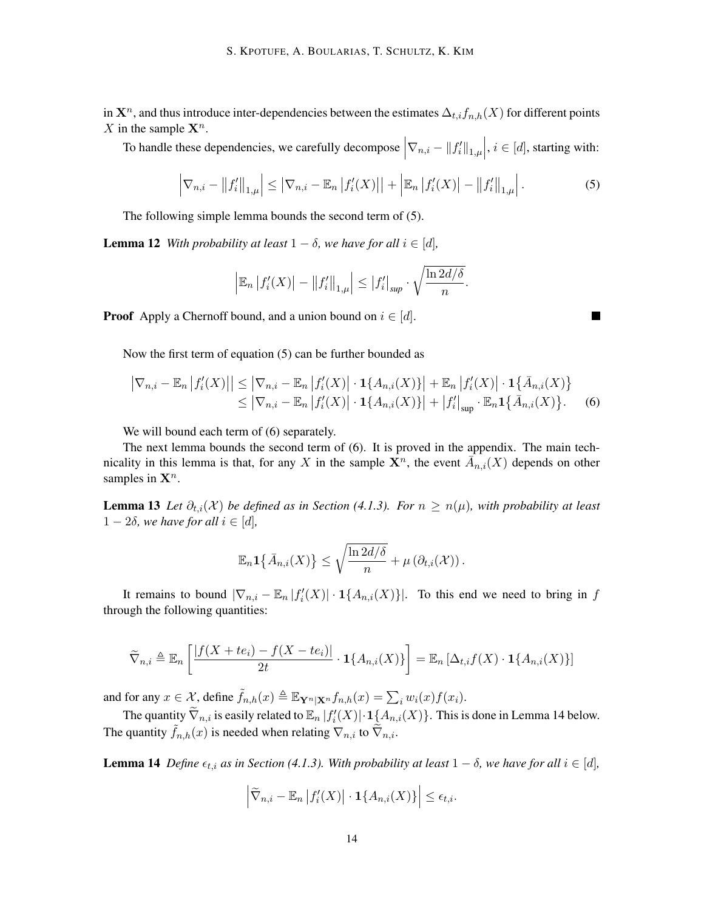in  $\mathbf{X}^n$ , and thus introduce inter-dependencies between the estimates  $\Delta_{t,i} f_{n,h}(X)$  for different points *X* in the sample  $X^n$ .

To handle these dependencies, we carefully decompose  $|\nabla_{n,i} - ||f'_i||_{1,\mu}$ ,  $i \in [d]$ , starting with:

$$
\left|\nabla_{n,i} - \|f'_i\|_{1,\mu}\right| \le \left|\nabla_{n,i} - \mathbb{E}_n\left|f'_i(X)\right|\right| + \left|\mathbb{E}_n\left|f'_i(X)\right| - \|f'_i\|_{1,\mu}\right|.
$$
 (5)

×

The following simple lemma bounds the second term of (5).

**Lemma 12** *With probability at least*  $1 - \delta$ *, we have for all*  $i \in [d]$ *,* 

$$
\left|\mathbb{E}_n\left|f_i'(X)\right|-\left\|f_i'\right\|_{1,\mu}\right|\leq \left|f_i'\right|_{sup}\cdot \sqrt{\frac{\ln 2d/\delta}{n}}.
$$

**Proof** Apply a Chernoff bound, and a union bound on  $i \in [d]$ .

Now the first term of equation (5) can be further bounded as

$$
\left| \nabla_{n,i} - \mathbb{E}_n |f'_i(X)| \right| \leq \left| \nabla_{n,i} - \mathbb{E}_n |f'_i(X)| \cdot \mathbf{1}\{A_{n,i}(X)\} \right| + \mathbb{E}_n |f'_i(X)| \cdot \mathbf{1}\{\bar{A}_{n,i}(X)\} \leq \left| \nabla_{n,i} - \mathbb{E}_n |f'_i(X)| \cdot \mathbf{1}\{A_{n,i}(X)\} \right| + \left| f'_i \right|_{\sup} \cdot \mathbb{E}_n \mathbf{1}\{\bar{A}_{n,i}(X)\}.
$$
 (6)

We will bound each term of  $(6)$  separately.

The next lemma bounds the second term of (6). It is proved in the appendix. The main technicality in this lemma is that, for any *X* in the sample  $\mathbf{X}^n$ , the event  $\overline{A}_{n,i}(X)$  depends on other samples in  $\mathbf{X}^n$ .

Lemma 13 *Let ∂t,i*(*X* ) *be defined as in Section (4.1.3). For n ≥ n*(*µ*)*, with probability at least* 1 *−* 2*δ, we have for all i ∈* [*d*]*,*

$$
\mathbb{E}_n \mathbf{1}\big\{\bar{A}_{n,i}(X)\big\} \leq \sqrt{\frac{\ln 2d/\delta}{n}} + \mu\left(\partial_{t,i}(\mathcal{X})\right).
$$

It remains to bound  $|\nabla_{n,i} - \mathbb{E}_n | f_i'(X)| \cdot 1\{A_{n,i}(X)\}$ . To this end we need to bring in *f* through the following quantities:

$$
\widetilde{\nabla}_{n,i} \triangleq \mathbb{E}_n \left[ \frac{|f(X + te_i) - f(X - te_i)|}{2t} \cdot \mathbf{1} \{ A_{n,i}(X) \} \right] = \mathbb{E}_n \left[ \Delta_{t,i} f(X) \cdot \mathbf{1} \{ A_{n,i}(X) \} \right]
$$

and for any  $x \in \mathcal{X}$ , define  $\tilde{f}_{n,h}(x) \triangleq \mathbb{E}_{\mathbf{Y}^n|\mathbf{X}^n} f_{n,h}(x) = \sum_i w_i(x) f(x_i)$ .

The quantity  $\tilde{\nabla}_{n,i}$  is easily related to  $\mathbb{E}_n |f_i'(X)| \cdot \mathbf{1}_{\mathcal{A}_{n,i}(X)}$ . This is done in Lemma 14 below. The quantity  $\tilde{f}_{n,h}(x)$  is needed when relating  $\nabla_{n,i}$  to  $\nabla_{n,i}$ .

**Lemma 14** *Define*  $\epsilon_{t,i}$  *as in Section* (4.1.3). With probability at least  $1 - \delta$ , we have for all  $i \in [d]$ ,

$$
\left|\widetilde{\nabla}_{n,i} - \mathbb{E}_n \left|f_i'(X)\right| \cdot \mathbf{1}\{A_{n,i}(X)\}\right| \leq \epsilon_{t,i}.
$$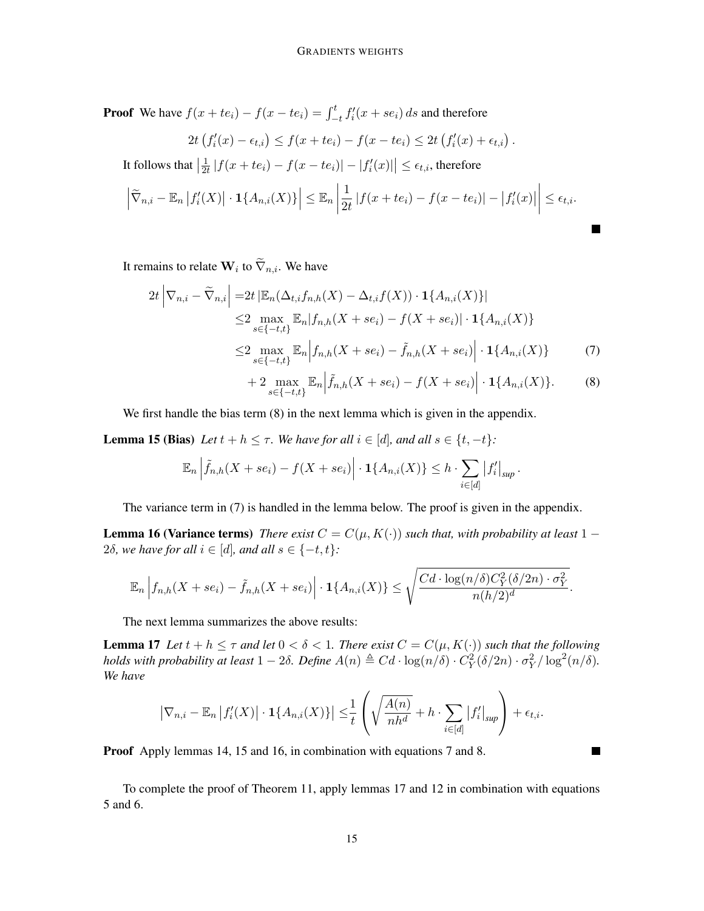**Proof** We have  $f(x + te_i) - f(x - te_i) = \int_{-t}^{t} f_i'(x + se_i) ds$  and therefore

$$
2t\left(f_i'(x)-\epsilon_{t,i}\right)\leq f(x+te_i)-f(x-te_i)\leq 2t\left(f_i'(x)+\epsilon_{t,i}\right).
$$

It follows that  $\left|\frac{1}{2t}\right|$  $\frac{1}{2t}$  | $f(x + te_i) - f(x - te_i)| - |f'_i(x)| | \le \epsilon_{t,i}$ , therefore

$$
\left|\widetilde{\nabla}_{n,i}-\mathbb{E}_n\left|f_i'(X)\right|\cdot\mathbf{1}\{A_{n,i}(X)\}\right|\leq \mathbb{E}_n\left|\frac{1}{2t}\left|f(x+te_i)-f(x-te_i)\right|-\left|f_i'(x)\right|\right|\leq \epsilon_{t,i}.
$$

It remains to relate  $\mathbf{W}_i$  to  $\nabla_{n,i}$ . We have

$$
2t \left| \nabla_{n,i} - \widetilde{\nabla}_{n,i} \right| = 2t \left| \mathbb{E}_n(\Delta_{t,i} f_{n,h}(X) - \Delta_{t,i} f(X)) \cdot \mathbf{1}\{A_{n,i}(X)\} \right|
$$
  
\n
$$
\leq 2 \max_{s \in \{-t,t\}} \mathbb{E}_n |f_{n,h}(X + s e_i) - f(X + s e_i)| \cdot \mathbf{1}\{A_{n,i}(X)\}
$$
  
\n
$$
\leq 2 \max_{s \in \{-t,t\}} \mathbb{E}_n \left| f_{n,h}(X + s e_i) - \widetilde{f}_{n,h}(X + s e_i) \right| \cdot \mathbf{1}\{A_{n,i}(X)\}
$$
 (7)

$$
+ 2 \max_{s \in \{-t,t\}} \mathbb{E}_n \Big| \tilde{f}_{n,h}(X + s e_i) - f(X + s e_i) \Big| \cdot \mathbf{1} \{ A_{n,i}(X) \}.
$$
 (8)

*.*

 $\blacksquare$ 

We first handle the bias term  $(8)$  in the next lemma which is given in the appendix.

**Lemma 15 (Bias)** *Let*  $t + h \leq \tau$ *. We have for all*  $i \in [d]$ *, and all*  $s \in \{t, -t\}$ *:* 

$$
\mathbb{E}_n \left| \tilde{f}_{n,h}(X + s e_i) - f(X + s e_i) \right| \cdot \mathbf{1} \{ A_{n,i}(X) \} \le h \cdot \sum_{i \in [d]} |f'_i|_{\sup}
$$

The variance term in (7) is handled in the lemma below. The proof is given in the appendix.

**Lemma 16 (Variance terms)** *There exist*  $C = C(\mu, K(\cdot))$  *such that, with probability at least* 1 − 2*δ, we have for all*  $i \in [d]$ *, and all*  $s \in \{-t, t\}$ *:* 

$$
\mathbb{E}_n \left| f_{n,h}(X + s e_i) - \tilde{f}_{n,h}(X + s e_i) \right| \cdot \mathbf{1} \{ A_{n,i}(X) \} \leq \sqrt{\frac{C d \cdot \log(n/\delta) C_Y^2(\delta/2n) \cdot \sigma_Y^2}{n(h/2)^d}}.
$$

The next lemma summarizes the above results:

**Lemma 17** Let  $t + h \leq \tau$  and let  $0 < \delta < 1$ . There exist  $C = C(\mu, K(\cdot))$  such that the following holds with probability at least  $1-2\delta$ . Define  $A(n) \triangleq Cd \cdot \log(n/\delta) \cdot C_Y^2(\delta/2n) \cdot \sigma_Y^2/\log^2(n/\delta)$ . *We have*

$$
\left|\nabla_{n,i} - \mathbb{E}_n \left|f_i'(X)\right| \cdot \mathbf{1}\{A_{n,i}(X)\}\right| \leq \frac{1}{t} \left(\sqrt{\frac{A(n)}{nh^d}} + h \cdot \sum_{i \in [d]} |f_i'|_{sup}\right) + \epsilon_{t,i}.
$$

Proof Apply lemmas 14, 15 and 16, in combination with equations 7 and 8.

To complete the proof of Theorem 11, apply lemmas 17 and 12 in combination with equations 5 and 6.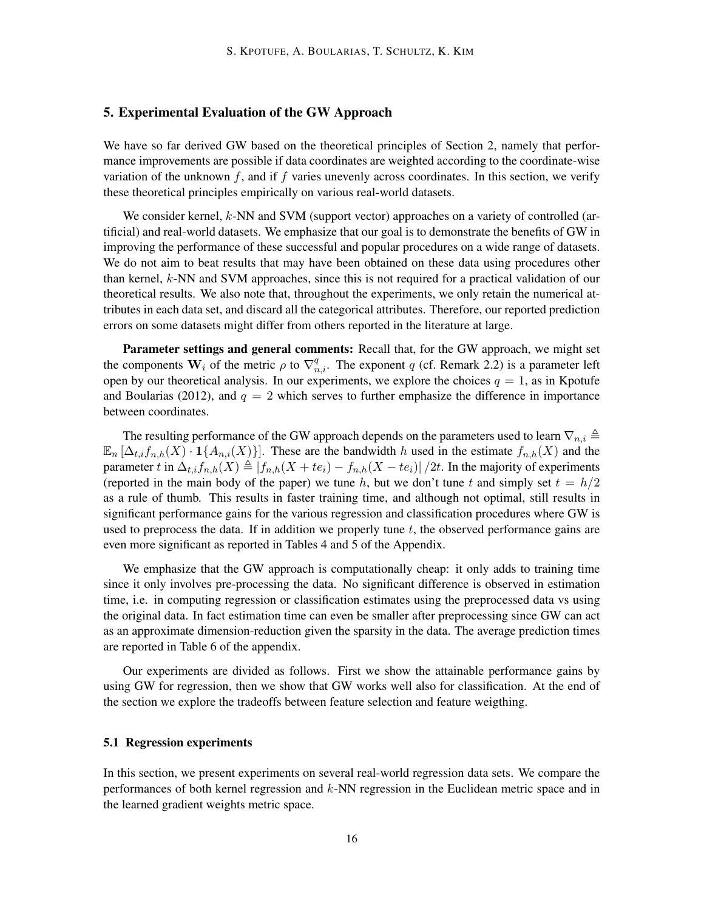# 5. Experimental Evaluation of the GW Approach

We have so far derived GW based on the theoretical principles of Section 2, namely that performance improvements are possible if data coordinates are weighted according to the coordinate-wise variation of the unknown  $f$ , and if  $f$  varies unevenly across coordinates. In this section, we verify these theoretical principles empirically on various real-world datasets.

We consider kernel,  $k$ -NN and SVM (support vector) approaches on a variety of controlled (artificial) and real-world datasets. We emphasize that our goal is to demonstrate the benefits of GW in improving the performance of these successful and popular procedures on a wide range of datasets. We do not aim to beat results that may have been obtained on these data using procedures other than kernel, *k*-NN and SVM approaches, since this is not required for a practical validation of our theoretical results. We also note that, throughout the experiments, we only retain the numerical attributes in each data set, and discard all the categorical attributes. Therefore, our reported prediction errors on some datasets might differ from others reported in the literature at large.

Parameter settings and general comments: Recall that, for the GW approach, we might set the components  $W_i$  of the metric  $\rho$  to  $\nabla_{n,i}^q$ . The exponent *q* (cf. Remark 2.2) is a parameter left open by our theoretical analysis. In our experiments, we explore the choices  $q = 1$ , as in Kpotufe and Boularias (2012), and  $q = 2$  which serves to further emphasize the difference in importance between coordinates.

The resulting performance of the GW approach depends on the parameters used to learn  $\nabla_{n,i} \triangleq$  $\mathbb{E}_n[\Delta_{t,i} f_{n,h}(X) \cdot \mathbf{1}\{A_{n,i}(X)\}]$ . These are the bandwidth *h* used in the estimate  $f_{n,h}(X)$  and the parameter t in  $\Delta_{t,i} f_{n,h}(X) \triangleq |f_{n,h}(X + te_i) - f_{n,h}(X - te_i)|/2t$ . In the majority of experiments (reported in the main body of the paper) we tune *h*, but we don't tune *t* and simply set  $t = h/2$ as a rule of thumb. This results in faster training time, and although not optimal, still results in significant performance gains for the various regression and classification procedures where GW is used to preprocess the data. If in addition we properly tune *t*, the observed performance gains are even more significant as reported in Tables 4 and 5 of the Appendix.

We emphasize that the GW approach is computationally cheap: it only adds to training time since it only involves pre-processing the data. No significant difference is observed in estimation time, i.e. in computing regression or classification estimates using the preprocessed data vs using the original data. In fact estimation time can even be smaller after preprocessing since GW can act as an approximate dimension-reduction given the sparsity in the data. The average prediction times are reported in Table 6 of the appendix.

Our experiments are divided as follows. First we show the attainable performance gains by using GW for regression, then we show that GW works well also for classification. At the end of the section we explore the tradeoffs between feature selection and feature weigthing.

#### 5.1 Regression experiments

In this section, we present experiments on several real-world regression data sets. We compare the performances of both kernel regression and *k*-NN regression in the Euclidean metric space and in the learned gradient weights metric space.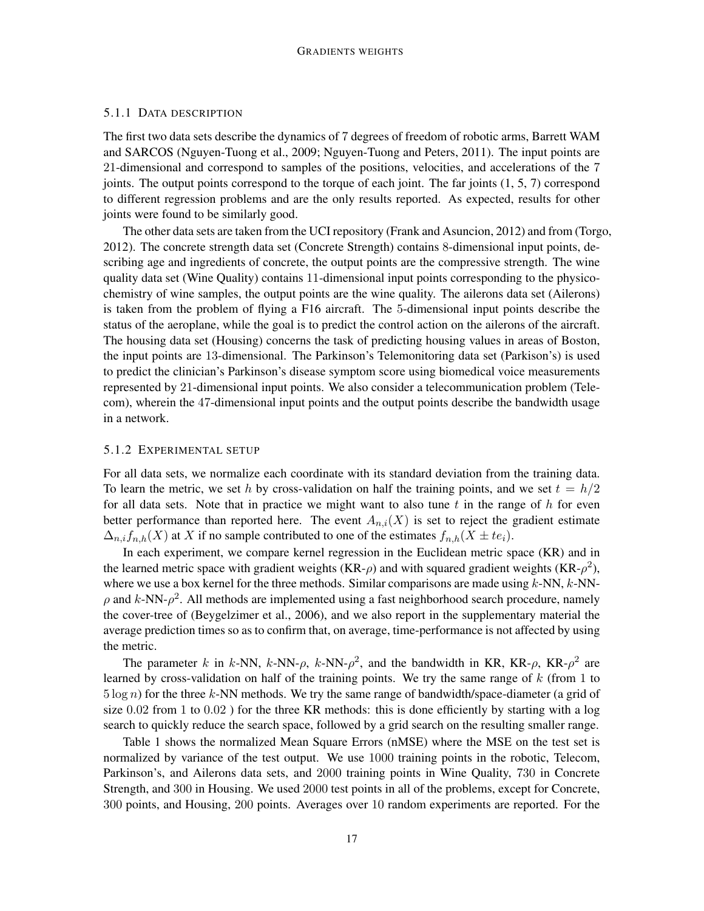## 5.1.1 DATA DESCRIPTION

The first two data sets describe the dynamics of 7 degrees of freedom of robotic arms, Barrett WAM and SARCOS (Nguyen-Tuong et al., 2009; Nguyen-Tuong and Peters, 2011). The input points are 21-dimensional and correspond to samples of the positions, velocities, and accelerations of the 7 joints. The output points correspond to the torque of each joint. The far joints (1, 5, 7) correspond to different regression problems and are the only results reported. As expected, results for other joints were found to be similarly good.

The other data sets are taken from the UCI repository (Frank and Asuncion, 2012) and from (Torgo, 2012). The concrete strength data set (Concrete Strength) contains 8-dimensional input points, describing age and ingredients of concrete, the output points are the compressive strength. The wine quality data set (Wine Quality) contains 11-dimensional input points corresponding to the physicochemistry of wine samples, the output points are the wine quality. The ailerons data set (Ailerons) is taken from the problem of flying a F16 aircraft. The 5-dimensional input points describe the status of the aeroplane, while the goal is to predict the control action on the ailerons of the aircraft. The housing data set (Housing) concerns the task of predicting housing values in areas of Boston, the input points are 13-dimensional. The Parkinson's Telemonitoring data set (Parkison's) is used to predict the clinician's Parkinson's disease symptom score using biomedical voice measurements represented by 21-dimensional input points. We also consider a telecommunication problem (Telecom), wherein the 47-dimensional input points and the output points describe the bandwidth usage in a network.

# 5.1.2 EXPERIMENTAL SETUP

For all data sets, we normalize each coordinate with its standard deviation from the training data. To learn the metric, we set *h* by cross-validation on half the training points, and we set  $t = h/2$ for all data sets. Note that in practice we might want to also tune *t* in the range of *h* for even better performance than reported here. The event  $A_{n,i}(X)$  is set to reject the gradient estimate  $\Delta_{n,i} f_{n,h}(X)$  at X if no sample contributed to one of the estimates  $f_{n,h}(X \pm t e_i)$ .

In each experiment, we compare kernel regression in the Euclidean metric space (KR) and in the learned metric space with gradient weights (KR- $\rho$ ) and with squared gradient weights (KR- $\rho^2$ ), where we use a box kernel for the three methods. Similar comparisons are made using *k*-NN, *k*-NN- $\rho$  and  $k$ -NN- $\rho^2$ . All methods are implemented using a fast neighborhood search procedure, namely the cover-tree of (Beygelzimer et al., 2006), and we also report in the supplementary material the average prediction times so as to confirm that, on average, time-performance is not affected by using the metric.

The parameter *k* in *k*-NN, *k*-NN- $\rho$ , *k*-NN- $\rho^2$ , and the bandwidth in KR, KR- $\rho$ , KR- $\rho^2$  are learned by cross-validation on half of the training points. We try the same range of *k* (from 1 to 5 log *n*) for the three *k*-NN methods. We try the same range of bandwidth/space-diameter (a grid of size 0*.*02 from 1 to 0*.*02 ) for the three KR methods: this is done efficiently by starting with a log search to quickly reduce the search space, followed by a grid search on the resulting smaller range.

Table 1 shows the normalized Mean Square Errors (nMSE) where the MSE on the test set is normalized by variance of the test output. We use 1000 training points in the robotic, Telecom, Parkinson's, and Ailerons data sets, and 2000 training points in Wine Quality, 730 in Concrete Strength, and 300 in Housing. We used 2000 test points in all of the problems, except for Concrete, 300 points, and Housing, 200 points. Averages over 10 random experiments are reported. For the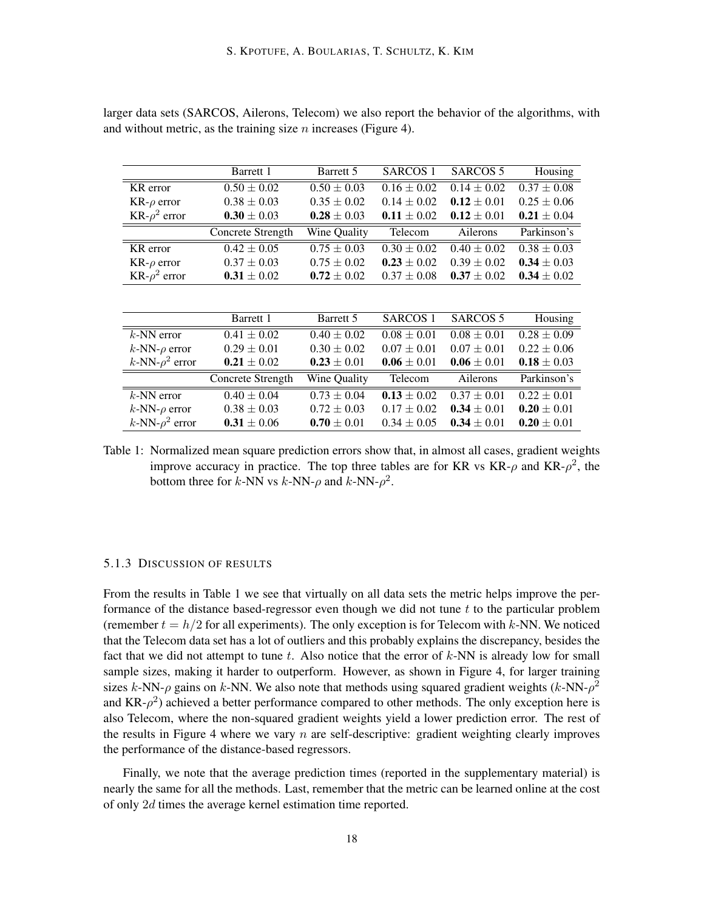|                         | Barrett 1         | Barrett 5       | SARCOS 1        | SARCOS 5        | Housing         |
|-------------------------|-------------------|-----------------|-----------------|-----------------|-----------------|
| KR error                | $0.50 \pm 0.02$   | $0.50 \pm 0.03$ | $0.16 \pm 0.02$ | $0.14 \pm 0.02$ | $0.37 \pm 0.08$ |
| $KR-\rho$ error         | $0.38 \pm 0.03$   | $0.35 \pm 0.02$ | $0.14 \pm 0.02$ | $0.12 \pm 0.01$ | $0.25 \pm 0.06$ |
| KR- $\rho^2$ error      | $0.30 \pm 0.03$   | $0.28 \pm 0.03$ | $0.11 \pm 0.02$ | $0.12 \pm 0.01$ | $0.21 \pm 0.04$ |
|                         | Concrete Strength | Wine Quality    | Telecom         | Ailerons        | Parkinson's     |
| KR error                | $0.42 \pm 0.05$   | $0.75 \pm 0.03$ | $0.30 \pm 0.02$ | $0.40 \pm 0.02$ | $0.38 \pm 0.03$ |
| $KR-\rho$ error         | $0.37 \pm 0.03$   | $0.75 \pm 0.02$ | $0.23 \pm 0.02$ | $0.39 \pm 0.02$ | $0.34 \pm 0.03$ |
| KR- $\rho^2$ error      | $0.31 \pm 0.02$   | $0.72 \pm 0.02$ | $0.37 \pm 0.08$ | $0.37 \pm 0.02$ | $0.34 \pm 0.02$ |
|                         |                   |                 |                 |                 |                 |
|                         |                   |                 |                 |                 |                 |
|                         | Barrett 1         | Barrett 5       | <b>SARCOS 1</b> | <b>SARCOS 5</b> | Housing         |
| $k$ -NN error           | $0.41 \pm 0.02$   | $0.40 \pm 0.02$ | $0.08 \pm 0.01$ | $0.08 \pm 0.01$ | $0.28 \pm 0.09$ |
| $k$ -NN- $\rho$ error   | $0.29 \pm 0.01$   | $0.30 \pm 0.02$ | $0.07 \pm 0.01$ | $0.07 \pm 0.01$ | $0.22 \pm 0.06$ |
| $k$ -NN- $\rho^2$ error | $0.21 \pm 0.02$   | $0.23 \pm 0.01$ | $0.06 \pm 0.01$ | $0.06 \pm 0.01$ | $0.18 \pm 0.03$ |
|                         | Concrete Strength | Wine Quality    | Telecom         | Ailerons        | Parkinson's     |
| $k$ -NN error           | $0.40 \pm 0.04$   | $0.73 \pm 0.04$ | $0.13 \pm 0.02$ | $0.37 \pm 0.01$ | $0.22 \pm 0.01$ |
| $k$ -NN- $\rho$ error   | $0.38 \pm 0.03$   | $0.72 \pm 0.03$ | $0.17 \pm 0.02$ | $0.34 \pm 0.01$ | $0.20 \pm 0.01$ |
| k-NN- $\rho^2$ error    | $0.31 \pm 0.06$   | $0.70 \pm 0.01$ | $0.34 \pm 0.05$ | $0.34 \pm 0.01$ | $0.20 \pm 0.01$ |

larger data sets (SARCOS, Ailerons, Telecom) we also report the behavior of the algorithms, with and without metric, as the training size *n* increases (Figure 4).

Table 1: Normalized mean square prediction errors show that, in almost all cases, gradient weights improve accuracy in practice. The top three tables are for KR vs  $KR-\rho$  and  $KR-\rho^2$ , the bottom three for *k*-NN vs *k*-NN- $\rho$  and *k*-NN- $\rho$ <sup>2</sup>.

## 5.1.3 DISCUSSION OF RESULTS

From the results in Table 1 we see that virtually on all data sets the metric helps improve the performance of the distance based-regressor even though we did not tune *t* to the particular problem (remember  $t = h/2$  for all experiments). The only exception is for Telecom with  $k$ -NN. We noticed that the Telecom data set has a lot of outliers and this probably explains the discrepancy, besides the fact that we did not attempt to tune *t*. Also notice that the error of *k*-NN is already low for small sample sizes, making it harder to outperform. However, as shown in Figure 4, for larger training sizes *k*-NN- $\rho$  gains on *k*-NN. We also note that methods using squared gradient weights (*k*-NN- $\rho^2$ and  $KR-\rho^2$ ) achieved a better performance compared to other methods. The only exception here is also Telecom, where the non-squared gradient weights yield a lower prediction error. The rest of the results in Figure 4 where we vary *n* are self-descriptive: gradient weighting clearly improves the performance of the distance-based regressors.

Finally, we note that the average prediction times (reported in the supplementary material) is nearly the same for all the methods. Last, remember that the metric can be learned online at the cost of only 2*d* times the average kernel estimation time reported.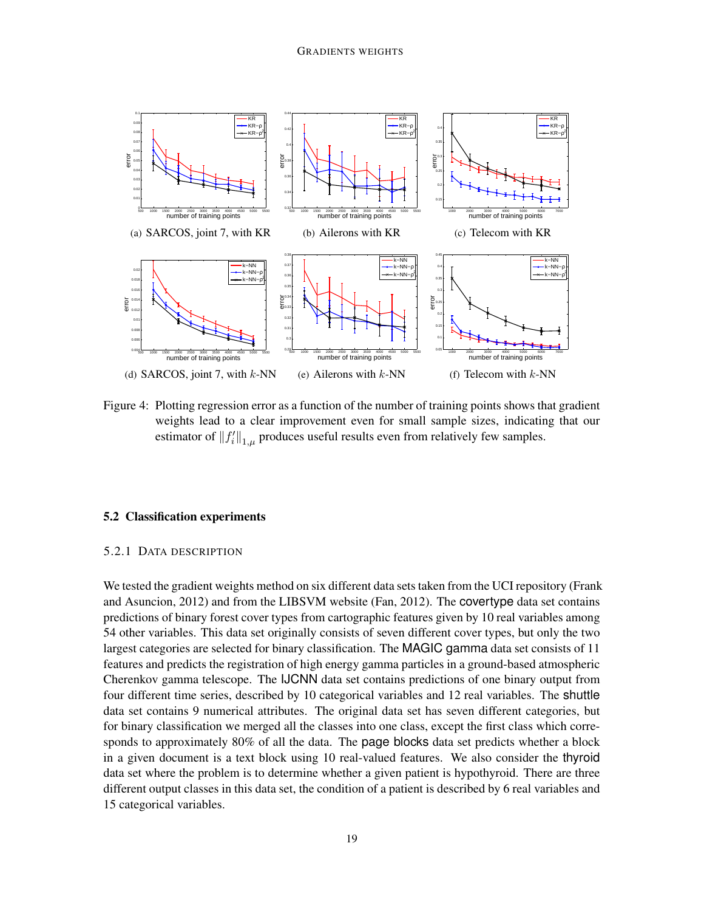

Figure 4: Plotting regression error as a function of the number of training points shows that gradient weights lead to a clear improvement even for small sample sizes, indicating that our estimator of  $||f'_i||_{1,\mu}$  produces useful results even from relatively few samples.

## 5.2 Classification experiments

## 5.2.1 DATA DESCRIPTION

We tested the gradient weights method on six different data sets taken from the UCI repository (Frank and Asuncion, 2012) and from the LIBSVM website (Fan, 2012). The covertype data set contains predictions of binary forest cover types from cartographic features given by 10 real variables among 54 other variables. This data set originally consists of seven different cover types, but only the two largest categories are selected for binary classification. The MAGIC gamma data set consists of 11 features and predicts the registration of high energy gamma particles in a ground-based atmospheric Cherenkov gamma telescope. The IJCNN data set contains predictions of one binary output from four different time series, described by 10 categorical variables and 12 real variables. The shuttle data set contains 9 numerical attributes. The original data set has seven different categories, but for binary classification we merged all the classes into one class, except the first class which corresponds to approximately 80% of all the data. The page blocks data set predicts whether a block in a given document is a text block using 10 real-valued features. We also consider the thyroid data set where the problem is to determine whether a given patient is hypothyroid. There are three different output classes in this data set, the condition of a patient is described by 6 real variables and 15 categorical variables.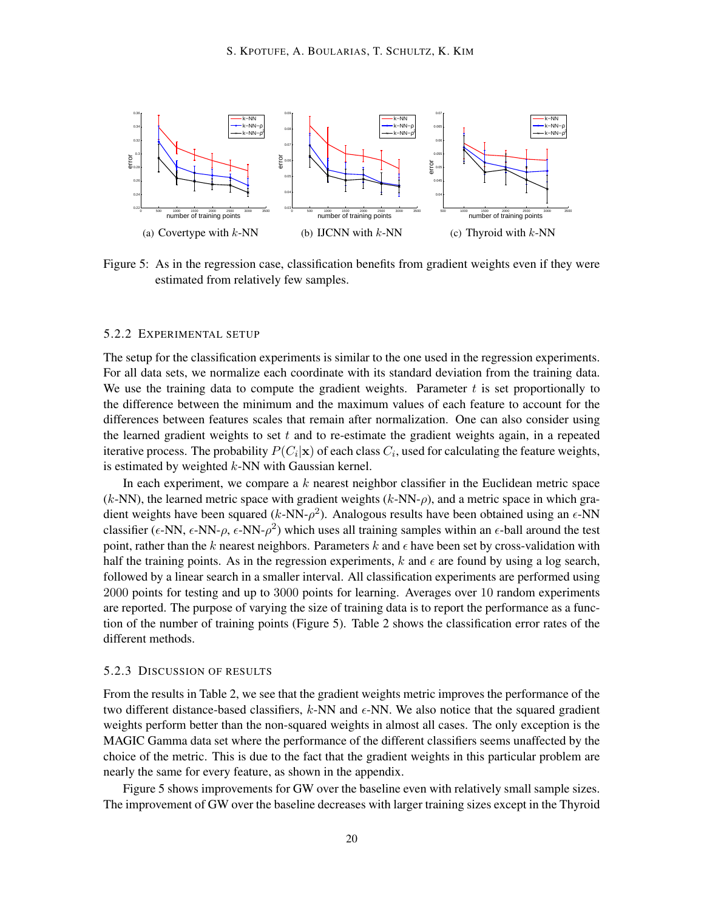

Figure 5: As in the regression case, classification benefits from gradient weights even if they were estimated from relatively few samples.

## 5.2.2 EXPERIMENTAL SETUP

The setup for the classification experiments is similar to the one used in the regression experiments. For all data sets, we normalize each coordinate with its standard deviation from the training data. We use the training data to compute the gradient weights. Parameter *t* is set proportionally to the difference between the minimum and the maximum values of each feature to account for the differences between features scales that remain after normalization. One can also consider using the learned gradient weights to set *t* and to re-estimate the gradient weights again, in a repeated iterative process. The probability  $P(C_i|\mathbf{x})$  of each class  $C_i$ , used for calculating the feature weights, is estimated by weighted *k*-NN with Gaussian kernel.

In each experiment, we compare a *k* nearest neighbor classifier in the Euclidean metric space  $(k\text{-NN})$ , the learned metric space with gradient weights  $(k\text{-NN}-\rho)$ , and a metric space in which gradient weights have been squared ( $k$ -NN- $\rho$ <sup>2</sup>). Analogous results have been obtained using an  $\epsilon$ -NN classifier ( $\epsilon$ -NN,  $\epsilon$ -NN- $\rho$ ,  $\epsilon$ -NN- $\rho^2$ ) which uses all training samples within an  $\epsilon$ -ball around the test point, rather than the  $k$  nearest neighbors. Parameters  $k$  and  $\epsilon$  have been set by cross-validation with half the training points. As in the regression experiments,  $k$  and  $\epsilon$  are found by using a log search, followed by a linear search in a smaller interval. All classification experiments are performed using 2000 points for testing and up to 3000 points for learning. Averages over 10 random experiments are reported. The purpose of varying the size of training data is to report the performance as a function of the number of training points (Figure 5). Table 2 shows the classification error rates of the different methods.

### 5.2.3 DISCUSSION OF RESULTS

From the results in Table 2, we see that the gradient weights metric improves the performance of the two different distance-based classifiers,  $k$ -NN and  $\epsilon$ -NN. We also notice that the squared gradient weights perform better than the non-squared weights in almost all cases. The only exception is the MAGIC Gamma data set where the performance of the different classifiers seems unaffected by the choice of the metric. This is due to the fact that the gradient weights in this particular problem are nearly the same for every feature, as shown in the appendix.

Figure 5 shows improvements for GW over the baseline even with relatively small sample sizes. The improvement of GW over the baseline decreases with larger training sizes except in the Thyroid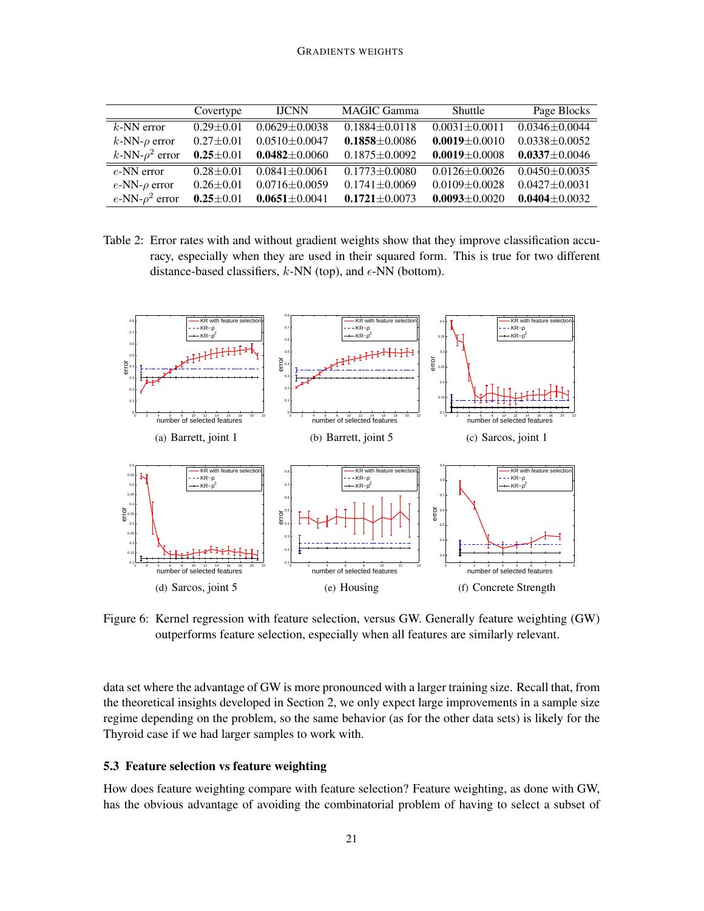|                         | Covertype       | <b>IJCNN</b>        | <b>MAGIC Gamma</b>  | Shuttle             | Page Blocks         |
|-------------------------|-----------------|---------------------|---------------------|---------------------|---------------------|
| $k$ -NN error           | $0.29 + 0.01$   | $0.0629 \pm 0.0038$ | $0.1884 \pm 0.0118$ | $0.0031 \pm 0.0011$ | $0.0346 \pm 0.0044$ |
| $k$ -NN- $\rho$ error   | $0.27 \pm 0.01$ | $0.0510 \pm 0.0047$ | $0.1858 \pm 0.0086$ | $0.0019 \pm 0.0010$ | $0.0338 \pm 0.0052$ |
| $k$ -NN- $\rho^2$ error | $0.25 \pm 0.01$ | $0.0482 \pm 0.0060$ | $0.1875 \pm 0.0092$ | $0.0019 \pm 0.0008$ | $0.0337 \pm 0.0046$ |
| $e$ -NN error           | $0.28 + 0.01$   | $0.0841 \pm 0.0061$ | $0.1773 \pm 0.0080$ | $0.0126 \pm 0.0026$ | $0.0450 \pm 0.0035$ |
| $e$ -NN- $\rho$ error   | $0.26 \pm 0.01$ | $0.0716 \pm 0.0059$ | $0.1741 \pm 0.0069$ | $0.0109 \pm 0.0028$ | $0.0427 \pm 0.0031$ |
| e-NN- $\rho^2$ error    | $0.25 \pm 0.01$ | $0.0651 \pm 0.0041$ | $0.1721 \pm 0.0073$ | $0.0093 \pm 0.0020$ | $0.0404 \pm 0.0032$ |

Table 2: Error rates with and without gradient weights show that they improve classification accuracy, especially when they are used in their squared form. This is true for two different distance-based classifiers,  $k$ -NN (top), and  $\epsilon$ -NN (bottom).



Figure 6: Kernel regression with feature selection, versus GW. Generally feature weighting (GW) outperforms feature selection, especially when all features are similarly relevant.

data set where the advantage of GW is more pronounced with a larger training size. Recall that, from the theoretical insights developed in Section 2, we only expect large improvements in a sample size regime depending on the problem, so the same behavior (as for the other data sets) is likely for the Thyroid case if we had larger samples to work with.

## 5.3 Feature selection vs feature weighting

How does feature weighting compare with feature selection? Feature weighting, as done with GW, has the obvious advantage of avoiding the combinatorial problem of having to select a subset of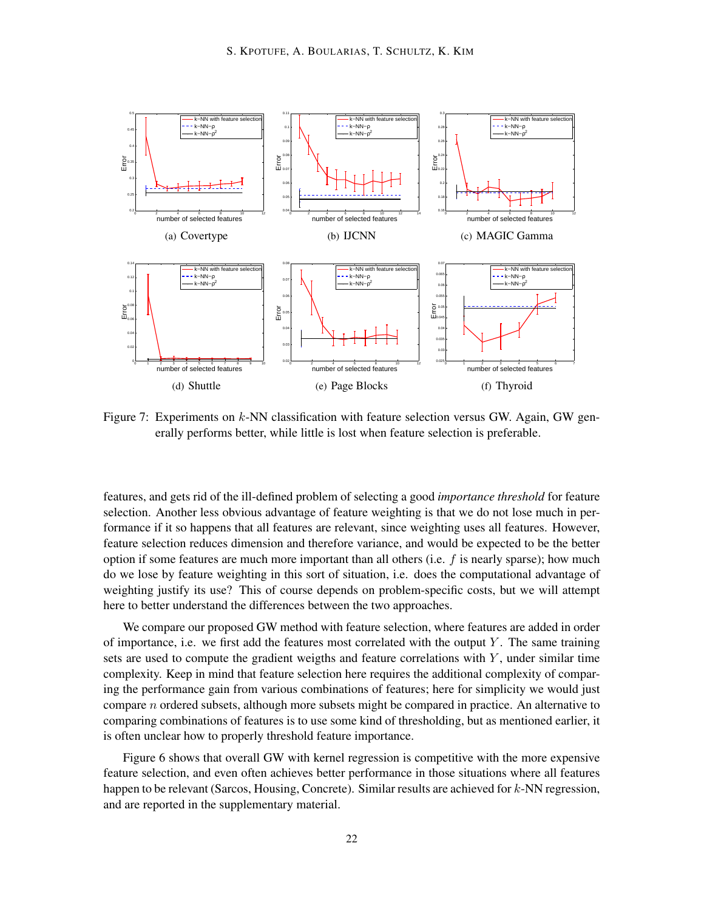

Figure 7: Experiments on *k*-NN classification with feature selection versus GW. Again, GW generally performs better, while little is lost when feature selection is preferable.

features, and gets rid of the ill-defined problem of selecting a good *importance threshold* for feature selection. Another less obvious advantage of feature weighting is that we do not lose much in performance if it so happens that all features are relevant, since weighting uses all features. However, feature selection reduces dimension and therefore variance, and would be expected to be the better option if some features are much more important than all others (i.e. *f* is nearly sparse); how much do we lose by feature weighting in this sort of situation, i.e. does the computational advantage of weighting justify its use? This of course depends on problem-specific costs, but we will attempt here to better understand the differences between the two approaches.

We compare our proposed GW method with feature selection, where features are added in order of importance, i.e. we first add the features most correlated with the output *Y* . The same training sets are used to compute the gradient weigths and feature correlations with *Y* , under similar time complexity. Keep in mind that feature selection here requires the additional complexity of comparing the performance gain from various combinations of features; here for simplicity we would just compare *n* ordered subsets, although more subsets might be compared in practice. An alternative to comparing combinations of features is to use some kind of thresholding, but as mentioned earlier, it is often unclear how to properly threshold feature importance.

Figure 6 shows that overall GW with kernel regression is competitive with the more expensive feature selection, and even often achieves better performance in those situations where all features happen to be relevant (Sarcos, Housing, Concrete). Similar results are achieved for *k*-NN regression, and are reported in the supplementary material.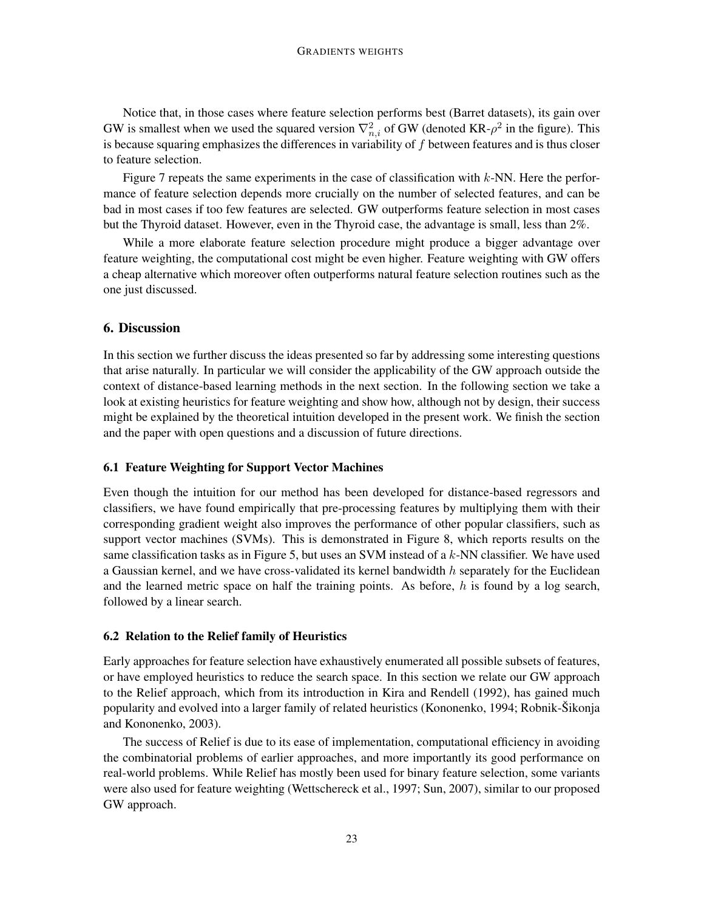#### GRADIENTS WEIGHTS

Notice that, in those cases where feature selection performs best (Barret datasets), its gain over GW is smallest when we used the squared version  $\nabla_{n,i}^2$  of GW (denoted KR- $\rho^2$  in the figure). This is because squaring emphasizes the differences in variability of *f* between features and is thus closer to feature selection.

Figure 7 repeats the same experiments in the case of classification with *k*-NN. Here the performance of feature selection depends more crucially on the number of selected features, and can be bad in most cases if too few features are selected. GW outperforms feature selection in most cases but the Thyroid dataset. However, even in the Thyroid case, the advantage is small, less than 2%.

While a more elaborate feature selection procedure might produce a bigger advantage over feature weighting, the computational cost might be even higher. Feature weighting with GW offers a cheap alternative which moreover often outperforms natural feature selection routines such as the one just discussed.

### 6. Discussion

In this section we further discuss the ideas presented so far by addressing some interesting questions that arise naturally. In particular we will consider the applicability of the GW approach outside the context of distance-based learning methods in the next section. In the following section we take a look at existing heuristics for feature weighting and show how, although not by design, their success might be explained by the theoretical intuition developed in the present work. We finish the section and the paper with open questions and a discussion of future directions.

### 6.1 Feature Weighting for Support Vector Machines

Even though the intuition for our method has been developed for distance-based regressors and classifiers, we have found empirically that pre-processing features by multiplying them with their corresponding gradient weight also improves the performance of other popular classifiers, such as support vector machines (SVMs). This is demonstrated in Figure 8, which reports results on the same classification tasks as in Figure 5, but uses an SVM instead of a *k*-NN classifier. We have used a Gaussian kernel, and we have cross-validated its kernel bandwidth *h* separately for the Euclidean and the learned metric space on half the training points. As before, *h* is found by a log search, followed by a linear search.

#### 6.2 Relation to the Relief family of Heuristics

Early approaches for feature selection have exhaustively enumerated all possible subsets of features, or have employed heuristics to reduce the search space. In this section we relate our GW approach to the Relief approach, which from its introduction in Kira and Rendell (1992), has gained much popularity and evolved into a larger family of related heuristics (Kononenko, 1994; Robnik-Šikonja and Kononenko, 2003).

The success of Relief is due to its ease of implementation, computational efficiency in avoiding the combinatorial problems of earlier approaches, and more importantly its good performance on real-world problems. While Relief has mostly been used for binary feature selection, some variants were also used for feature weighting (Wettschereck et al., 1997; Sun, 2007), similar to our proposed GW approach.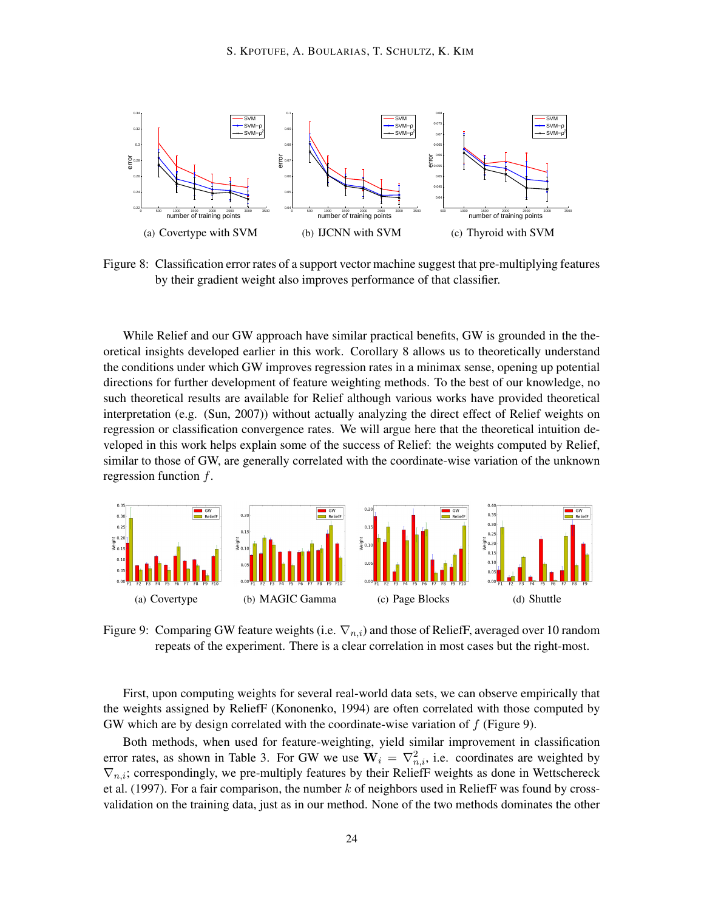

Figure 8: Classification error rates of a support vector machine suggest that pre-multiplying features by their gradient weight also improves performance of that classifier.

While Relief and our GW approach have similar practical benefits, GW is grounded in the theoretical insights developed earlier in this work. Corollary 8 allows us to theoretically understand the conditions under which GW improves regression rates in a minimax sense, opening up potential directions for further development of feature weighting methods. To the best of our knowledge, no such theoretical results are available for Relief although various works have provided theoretical interpretation (e.g. (Sun, 2007)) without actually analyzing the direct effect of Relief weights on regression or classification convergence rates. We will argue here that the theoretical intuition developed in this work helps explain some of the success of Relief: the weights computed by Relief, similar to those of GW, are generally correlated with the coordinate-wise variation of the unknown regression function *f*.



Figure 9: Comparing GW feature weights (i.e. *∇n,i*) and those of ReliefF, averaged over 10 random repeats of the experiment. There is a clear correlation in most cases but the right-most.

First, upon computing weights for several real-world data sets, we can observe empirically that the weights assigned by ReliefF (Kononenko, 1994) are often correlated with those computed by GW which are by design correlated with the coordinate-wise variation of *f* (Figure 9).

Both methods, when used for feature-weighting, yield similar improvement in classification error rates, as shown in Table 3. For GW we use  $W_i = \nabla^2_{n,i}$ , i.e. coordinates are weighted by *∇n,i*; correspondingly, we pre-multiply features by their ReliefF weights as done in Wettschereck et al. (1997). For a fair comparison, the number *k* of neighbors used in ReliefF was found by crossvalidation on the training data, just as in our method. None of the two methods dominates the other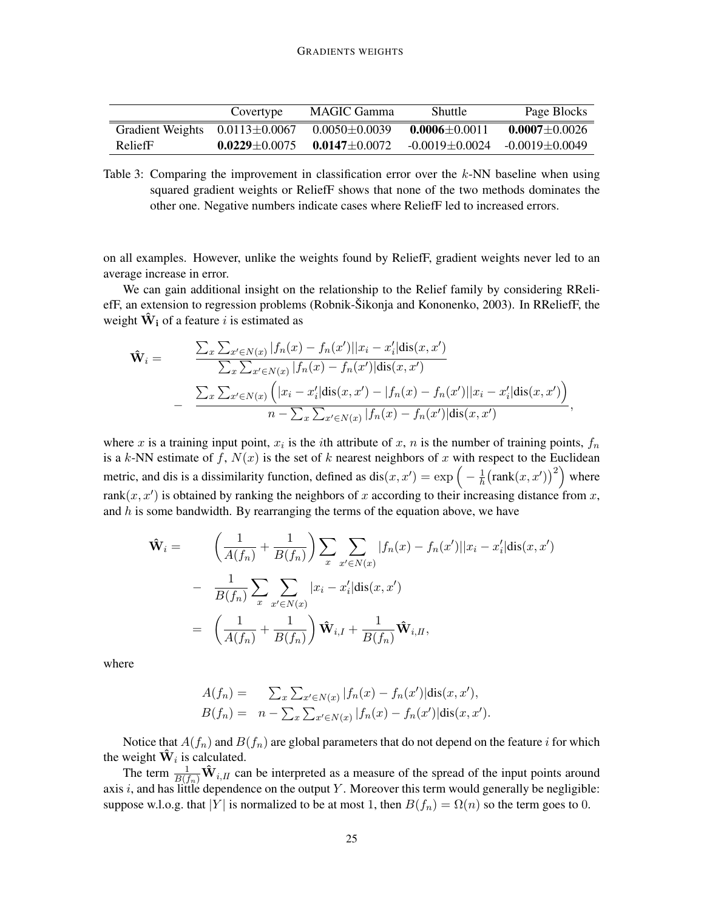|                  | Covertype           | MAGIC Gamma         | Shuttle              | Page Blocks          |
|------------------|---------------------|---------------------|----------------------|----------------------|
| Gradient Weights | $0.0113 \pm 0.0067$ | $0.0050 \pm 0.0039$ | $0.0006 + 0.0011$    | $0.0007 \pm 0.0026$  |
| ReliefF          | $0.0229 \pm 0.0075$ | $0.0147 + 0.0072$   | $-0.0019 \pm 0.0024$ | $-0.0019 \pm 0.0049$ |

Table 3: Comparing the improvement in classification error over the *k*-NN baseline when using squared gradient weights or ReliefF shows that none of the two methods dominates the other one. Negative numbers indicate cases where ReliefF led to increased errors.

on all examples. However, unlike the weights found by ReliefF, gradient weights never led to an average increase in error.

We can gain additional insight on the relationship to the Relief family by considering RReliefF, an extension to regression problems (Robnik-Šikonja and Kononenko, 2003). In RReliefF, the weight  $\hat{\mathbf{W}}_i$  of a feature *i* is estimated as

$$
\hat{\mathbf{W}}_i = \frac{\sum_x \sum_{x' \in N(x)} |f_n(x) - f_n(x')||x_i - x'_i| \text{dis}(x, x')}{\sum_x \sum_{x' \in N(x)} |f_n(x) - f_n(x')| \text{dis}(x, x')} - \frac{\sum_x \sum_{x' \in N(x)} (|x_i - x'_i| \text{dis}(x, x') - |f_n(x) - f_n(x')||x_i - x'_i| \text{dis}(x, x'))}{n - \sum_x \sum_{x' \in N(x)} |f_n(x) - f_n(x')| \text{dis}(x, x')},
$$

where *x* is a training input point,  $x_i$  is the *i*th attribute of  $x$ ,  $n$  is the number of training points,  $f_n$ is a *k*-NN estimate of  $f$ ,  $N(x)$  is the set of  $k$  nearest neighbors of  $x$  with respect to the Euclidean metric, and dis is a dissimilarity function, defined as  $dis(x, x') = exp(-\frac{1}{h})$  $\frac{1}{h}$ (rank $(x, x')$ )<sup>2</sup>) where rank $(x, x')$  is obtained by ranking the neighbors of x according to their increasing distance from x, and *h* is some bandwidth. By rearranging the terms of the equation above, we have

$$
\hat{\mathbf{W}}_{i} = \left(\frac{1}{A(f_{n})} + \frac{1}{B(f_{n})}\right) \sum_{x} \sum_{x' \in N(x)} |f_{n}(x) - f_{n}(x')||x_{i} - x'_{i}| \text{dis}(x, x')\n- \frac{1}{B(f_{n})} \sum_{x} \sum_{x' \in N(x)} |x_{i} - x'_{i}| \text{dis}(x, x')\n= \left(\frac{1}{A(f_{n})} + \frac{1}{B(f_{n})}\right) \hat{\mathbf{W}}_{i,I} + \frac{1}{B(f_{n})} \hat{\mathbf{W}}_{i,II},
$$

where

$$
A(f_n) = \sum_{x} \sum_{x' \in N(x)} |f_n(x) - f_n(x')| \text{dis}(x, x'),
$$
  
\n
$$
B(f_n) = n - \sum_{x} \sum_{x' \in N(x)} |f_n(x) - f_n(x')| \text{dis}(x, x').
$$

Notice that  $A(f_n)$  and  $B(f_n)$  are global parameters that do not depend on the feature *i* for which the weight  $\hat{\mathbf{W}}_i$  is calculated.

The term  $\frac{1}{B(f_n)}\hat{W}_{i,II}$  can be interpreted as a measure of the spread of the input points around axis *i*, and has little dependence on the output *Y* . Moreover this term would generally be negligible: suppose w.l.o.g. that  $|Y|$  is normalized to be at most 1, then  $B(f_n) = \Omega(n)$  so the term goes to 0.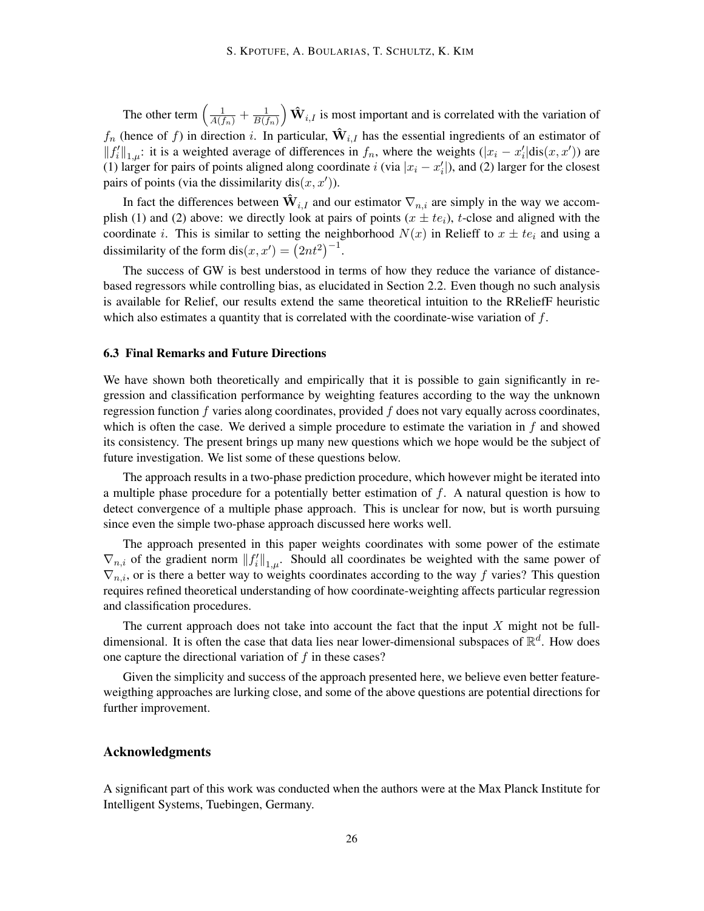The other term  $\left(\frac{1}{A(f_n)} + \frac{1}{B(f_n)}\right)$  $\frac{1}{B(f_n)}$   $\hat{\mathbf{W}}_{i,I}$  is most important and is correlated with the variation of  $f_n$  (hence of f) in direction *i*. In particular,  $\hat{\mathbf{W}}_{i,I}$  has the essential ingredients of an estimator of  $||f'_i||_{1,\mu}$ : it is a weighted average of differences in  $f_n$ , where the weights  $(|x_i - x'_i| \text{dis}(x, x'))$  are (1) larger for pairs of points aligned along coordinate *i* (via  $|x_i - x'_i|$ ), and (2) larger for the closest pairs of points (via the dissimilarity dis $(x, x')$ ).

In fact the differences between  $\hat{\mathbf{W}}_{i,I}$  and our estimator  $\nabla_{n,i}$  are simply in the way we accomplish (1) and (2) above: we directly look at pairs of points  $(x \pm te_i)$ , *t*-close and aligned with the coordinate *i*. This is similar to setting the neighborhood  $N(x)$  in Relieff to  $x \pm te_i$  and using a dissimilarity of the form dis $(x, x') = (2nt^2)^{-1}$ .

The success of GW is best understood in terms of how they reduce the variance of distancebased regressors while controlling bias, as elucidated in Section 2.2. Even though no such analysis is available for Relief, our results extend the same theoretical intuition to the RReliefF heuristic which also estimates a quantity that is correlated with the coordinate-wise variation of *f*.

#### 6.3 Final Remarks and Future Directions

We have shown both theoretically and empirically that it is possible to gain significantly in regression and classification performance by weighting features according to the way the unknown regression function *f* varies along coordinates, provided *f* does not vary equally across coordinates, which is often the case. We derived a simple procedure to estimate the variation in *f* and showed its consistency. The present brings up many new questions which we hope would be the subject of future investigation. We list some of these questions below.

The approach results in a two-phase prediction procedure, which however might be iterated into a multiple phase procedure for a potentially better estimation of *f*. A natural question is how to detect convergence of a multiple phase approach. This is unclear for now, but is worth pursuing since even the simple two-phase approach discussed here works well.

The approach presented in this paper weights coordinates with some power of the estimate  $\nabla_{n,i}$  of the gradient norm  $||f_i'||_{1,\mu}$ . Should all coordinates be weighted with the same power of *∇n,i*, or is there a better way to weights coordinates according to the way *f* varies? This question requires refined theoretical understanding of how coordinate-weighting affects particular regression and classification procedures.

The current approach does not take into account the fact that the input *X* might not be fulldimensional. It is often the case that data lies near lower-dimensional subspaces of R *d* . How does one capture the directional variation of *f* in these cases?

Given the simplicity and success of the approach presented here, we believe even better featureweigthing approaches are lurking close, and some of the above questions are potential directions for further improvement.

### Acknowledgments

A significant part of this work was conducted when the authors were at the Max Planck Institute for Intelligent Systems, Tuebingen, Germany.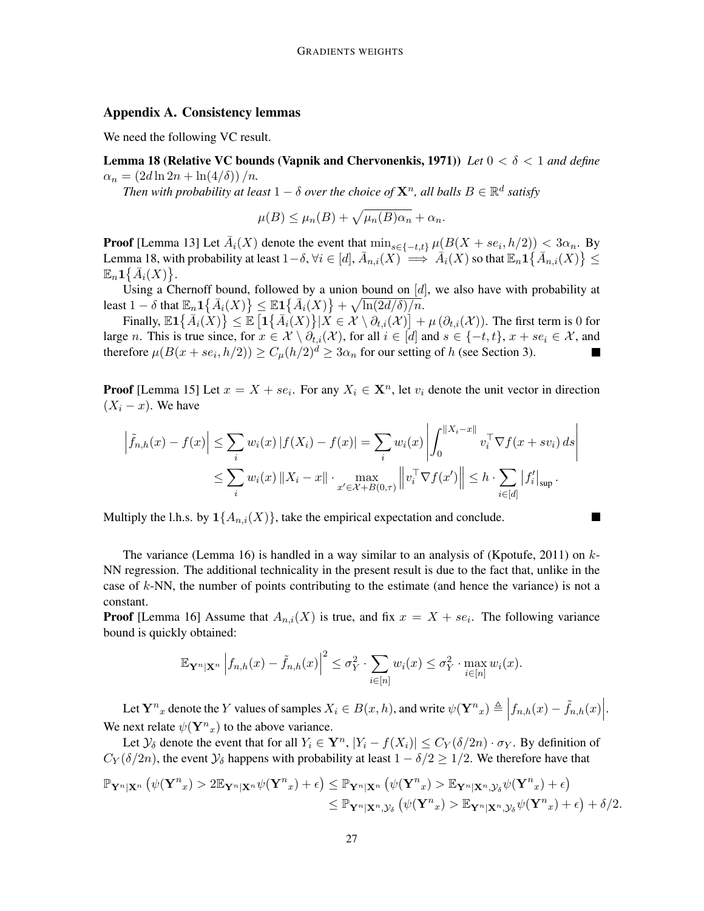## Appendix A. Consistency lemmas

We need the following VC result.

Lemma 18 (Relative VC bounds (Vapnik and Chervonenkis, 1971)) *Let* 0 *< δ <* 1 *and define*  $a_n = (2d \ln 2n + \ln(4/\delta))/n$ .

*Then with probability at least*  $1 - \delta$  *over the choice of*  $\mathbf{X}^n$ *, all balls*  $B \in \mathbb{R}^d$  *satisfy* 

$$
\mu(B) \le \mu_n(B) + \sqrt{\mu_n(B)\alpha_n} + \alpha_n.
$$

**Proof** [Lemma 13] Let  $\overline{A}_i(X)$  denote the event that  $\min_{s \in \{-t,t\}} \mu(B(X + s e_i, h/2)) < 3\alpha_n$ . By Lemma 18, with probability at least  $1-\delta$ ,  $\forall i \in [d]$ ,  $\bar{A}_{n,i}(X) \implies \bar{A}_i(X)$  so that  $\mathbb{E}_n \mathbf{1}\{\bar{A}_{n,i}(X)\} \leq$  $\mathbb{E}_n \mathbf{1} \big\{ \bar{A}_i(X) \big\}.$ 

Using a Chernoff bound, followed by a union bound on [*d*], we also have with probability at least  $1 - \delta$  that  $\mathbb{E}_n \mathbf{1} \{ \bar{A}_i(X) \} \leq \mathbb{E} \mathbf{1} \{ \bar{A}_i(X) \} + \sqrt{\ln(2d/\delta)/n}$ .

Finally,  $\mathbb{E} \mathbf{1}\{\bar{A}_i(\hat{X})\} \leq \mathbb{E} \left[ \mathbf{1}\{\bar{A}_i(X)\} | X \in \mathcal{X} \setminus \partial_{t,i}(\mathcal{X}) \right] + \mu \left( \partial_{t,i}(\mathcal{X}) \right)$ . The first term is 0 for large *n*. This is true since, for  $x \in \mathcal{X} \setminus \partial_{t,i}(\mathcal{X})$ , for all  $i \in [d]$  and  $s \in \{-t, t\}$ ,  $x + s e_i \in \mathcal{X}$ , and therefore  $\mu(B(x + s e_i, h/2)) \ge C_{\mu}(h/2)^d \ge 3\alpha_n$  for our setting of *h* (see Section 3).  $\blacksquare$ 

**Proof** [Lemma 15] Let  $x = X + s e_i$ . For any  $X_i \in \mathbf{X}^n$ , let  $v_i$  denote the unit vector in direction  $(X_i - x)$ . We have

$$
\left| \tilde{f}_{n,h}(x) - f(x) \right| \leq \sum_{i} w_i(x) \left| f(X_i) - f(x) \right| = \sum_{i} w_i(x) \left| \int_0^{\|X_i - x\|} v_i^{\top} \nabla f(x + sv_i) ds \right|
$$
  

$$
\leq \sum_{i} w_i(x) \left\| X_i - x \right\| \cdot \max_{x' \in \mathcal{X} + B(0,\tau)} \left\| v_i^{\top} \nabla f(x') \right\| \leq h \cdot \sum_{i \in [d]} |f'_i|_{\sup}.
$$

×

Multiply the l.h.s. by  $1\{A_{n,i}(X)\}$ , take the empirical expectation and conclude.

The variance (Lemma 16) is handled in a way similar to an analysis of (Kpotufe, 2011) on *k*-NN regression. The additional technicality in the present result is due to the fact that, unlike in the case of *k*-NN, the number of points contributing to the estimate (and hence the variance) is not a constant.

**Proof** [Lemma 16] Assume that  $A_{n,i}(X)$  is true, and fix  $x = X + s e_i$ . The following variance bound is quickly obtained:

$$
\mathbb{E}_{\mathbf{Y}^n|\mathbf{X}^n} \left| f_{n,h}(x) - \tilde{f}_{n,h}(x) \right|^2 \leq \sigma_Y^2 \cdot \sum_{i \in [n]} w_i(x) \leq \sigma_Y^2 \cdot \max_{i \in [n]} w_i(x).
$$

Let  $\mathbf{Y}^n$  denote the Y values of samples  $X_i \in B(x, h)$ , and write  $\psi(\mathbf{Y}^n x) \triangleq \Big| f_{n,h}(x) - \tilde{f}_{n,h}(x) \Big|$ . We next relate  $\psi(\mathbf{Y}^n)_x$  to the above variance.

Let  $\mathcal{Y}_\delta$  denote the event that for all  $Y_i \in \mathbf{Y}^n$ ,  $|Y_i - f(X_i)| \leq C_Y(\delta/2n) \cdot \sigma_Y$ . By definition of  $C_Y(\delta/2n)$ , the event  $\mathcal{Y}_\delta$  happens with probability at least  $1 - \delta/2 \geq 1/2$ . We therefore have that

$$
\mathbb{P}_{\mathbf{Y}^n|\mathbf{X}^n} \left( \psi(\mathbf{Y}^n x) > 2 \mathbb{E}_{\mathbf{Y}^n|\mathbf{X}^n} \psi(\mathbf{Y}^n x) + \epsilon \right) \leq \mathbb{P}_{\mathbf{Y}^n|\mathbf{X}^n} \left( \psi(\mathbf{Y}^n x) > \mathbb{E}_{\mathbf{Y}^n|\mathbf{X}^n, \mathcal{Y}_\delta} \psi(\mathbf{Y}^n x) + \epsilon \right) \\ \leq \mathbb{P}_{\mathbf{Y}^n|\mathbf{X}^n, \mathcal{Y}_\delta} \left( \psi(\mathbf{Y}^n x) > \mathbb{E}_{\mathbf{Y}^n|\mathbf{X}^n, \mathcal{Y}_\delta} \psi(\mathbf{Y}^n x) + \epsilon \right) + \delta/2.
$$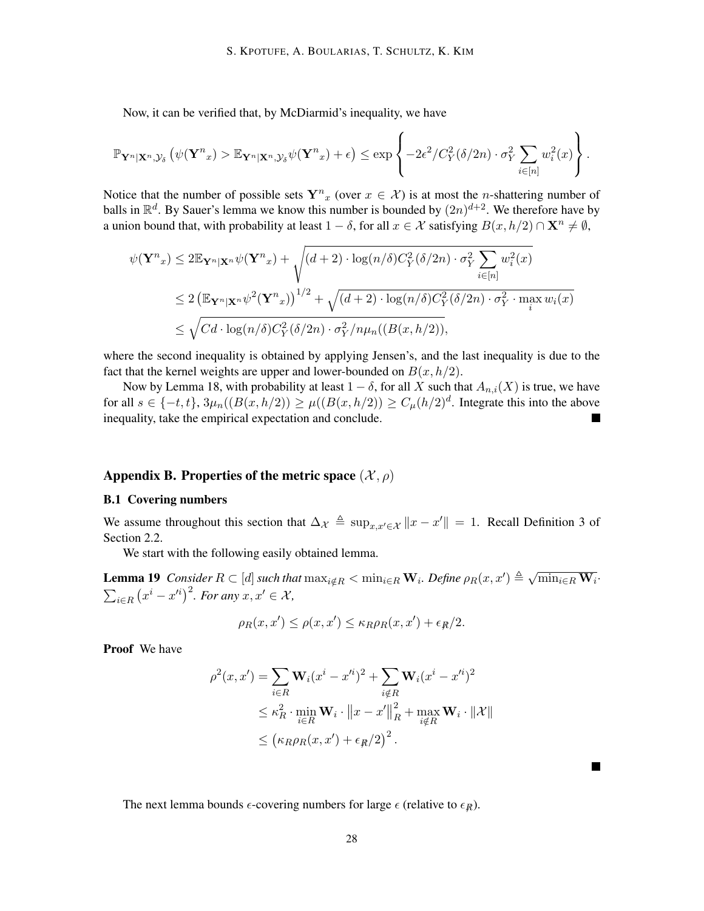Now, it can be verified that, by McDiarmid's inequality, we have

$$
\mathbb{P}_{\mathbf{Y}^n|\mathbf{X}^n,\mathcal{Y}_\delta} \left( \psi(\mathbf{Y}^n)_x > \mathbb{E}_{\mathbf{Y}^n|\mathbf{X}^n,\mathcal{Y}_\delta} \psi(\mathbf{Y}^n)_x + \epsilon \right) \leq \exp \left\{ -2\epsilon^2/C_Y^2(\delta/2n) \cdot \sigma_Y^2 \sum_{i \in [n]} w_i^2(x) \right\}.
$$

Notice that the number of possible sets  $Y^n_x$  (over  $x \in \mathcal{X}$ ) is at most the *n*-shattering number of balls in  $\mathbb{R}^d$ . By Sauer's lemma we know this number is bounded by  $(2n)^{d+2}$ . We therefore have by a union bound that, with probability at least  $1 - \delta$ , for all  $x \in \mathcal{X}$  satisfying  $B(x, h/2) \cap \mathbf{X}^n \neq \emptyset$ ,

$$
\psi(\mathbf{Y}^{n}_{x}) \leq 2\mathbb{E}_{\mathbf{Y}^{n}|\mathbf{X}^{n}}\psi(\mathbf{Y}^{n}_{x}) + \sqrt{(d+2)\cdot\log(n/\delta)C_{Y}^{2}(\delta/2n)\cdot\sigma_{Y}^{2}\sum_{i\in[n]}w_{i}^{2}(x)}
$$
  
\n
$$
\leq 2\left(\mathbb{E}_{\mathbf{Y}^{n}|\mathbf{X}^{n}}\psi^{2}(\mathbf{Y}^{n}_{x})\right)^{1/2} + \sqrt{(d+2)\cdot\log(n/\delta)C_{Y}^{2}(\delta/2n)\cdot\sigma_{Y}^{2}\cdot\max_{i}w_{i}(x)}
$$
  
\n
$$
\leq \sqrt{Cd\cdot\log(n/\delta)C_{Y}^{2}(\delta/2n)\cdot\sigma_{Y}^{2}/n\mu_{n}((B(x,h/2))},
$$

where the second inequality is obtained by applying Jensen's, and the last inequality is due to the fact that the kernel weights are upper and lower-bounded on  $B(x, h/2)$ .

Now by Lemma 18, with probability at least  $1 - \delta$ , for all *X* such that  $A_{n,i}(X)$  is true, we have for all  $s \in \{-t, t\}$ ,  $3\mu_n((B(x, h/2)) \ge \mu((B(x, h/2)) \ge C_\mu(h/2)^d$ . Integrate this into the above inequality, take the empirical expectation and conclude.

# Appendix B. Properties of the metric space  $(\mathcal{X}, \rho)$

# B.1 Covering numbers

We assume throughout this section that  $\Delta_{\mathcal{X}} \triangleq \sup_{x,x'\in\mathcal{X}} ||x-x'|| = 1$ . Recall Definition 3 of Section 2.2.

We start with the following easily obtained lemma.

**Lemma 19** Consider  $R \subset [d]$  such that  $\max_{i \notin R} < \min_{i \in R} \mathbf{W}_i$ . Define  $\rho_R(x, x') \triangleq \sqrt{\min_{i \in R} \mathbf{W}_i}$ .  $\sum_{i \in R} (x^i - x^{\prime i})^2$ . For any  $x, x' \in \mathcal{X}$ ,

$$
\rho_R(x, x') \le \rho(x, x') \le \kappa_R \rho_R(x, x') + \epsilon_R/2.
$$

Proof We have

$$
\rho^{2}(x, x') = \sum_{i \in R} \mathbf{W}_{i}(x^{i} - x^{\prime i})^{2} + \sum_{i \notin R} \mathbf{W}_{i}(x^{i} - x^{\prime i})^{2}
$$
  
\n
$$
\leq \kappa_{R}^{2} \cdot \min_{i \in R} \mathbf{W}_{i} \cdot ||x - x'||_{R}^{2} + \max_{i \notin R} \mathbf{W}_{i} \cdot ||\mathcal{X}||
$$
  
\n
$$
\leq (\kappa_{R}\rho_{R}(x, x') + \epsilon_{R}/2)^{2}.
$$

**In the Second** 

The next lemma bounds  $\epsilon$ -covering numbers for large  $\epsilon$  (relative to  $\epsilon_R$ ).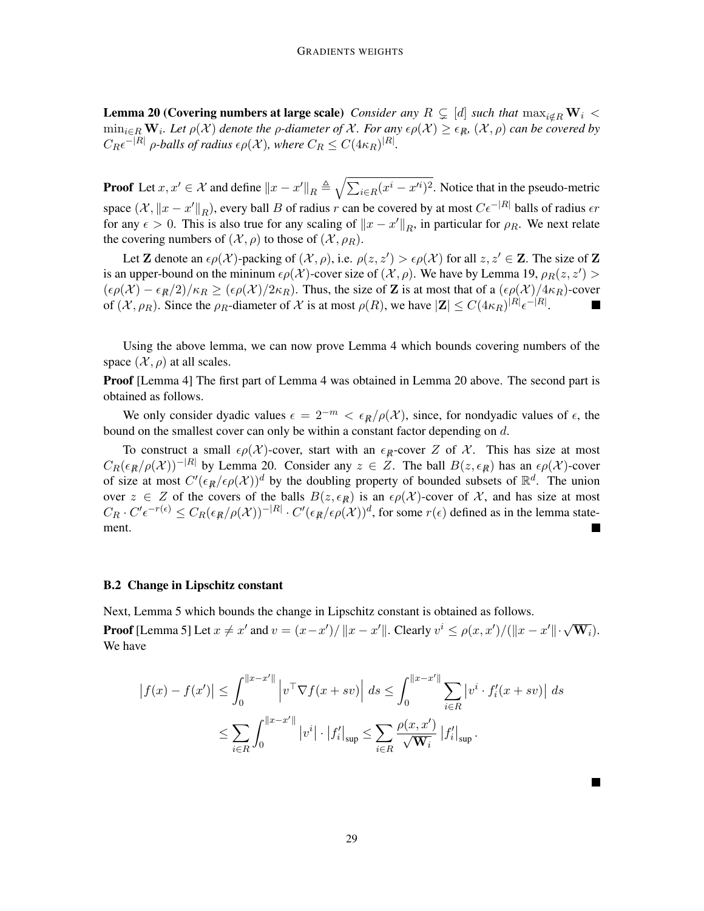**Lemma 20 (Covering numbers at large scale)** *Consider any*  $R \subsetneq [d]$  *such that*  $\max_{i \notin R} W_i$  <  $\min_{i\in R}$   $W_i$ . Let  $\rho(\mathcal{X})$  denote the  $\rho$ -diameter of  $\mathcal{X}$ . For any  $\epsilon\rho(\mathcal{X})\geq\epsilon_R$ ,  $(\mathcal{X},\rho)$  can be covered by  $C_R \epsilon^{-|R|}$  *ρ*-*balls of radius*  $\epsilon \rho(\mathcal{X})$ *, where*  $C_R \leq C(4\kappa_R)^{|R|}$ *.* 

**Proof** Let  $x, x' \in \mathcal{X}$  and define  $||x - x'||_R \triangleq \sqrt{\sum_{i \in R} (x^i - x'^i)^2}$ . Notice that in the pseudo-metric space  $(\mathcal{X}, \|x - x'\|_R)$ , every ball *B* of radius *r* can be covered by at most  $C\epsilon^{-|R|}$  balls of radius  $\epsilon r$ for any  $\epsilon > 0$ . This is also true for any scaling of  $||x - x'||_R$ , in particular for  $\rho_R$ . We next relate the covering numbers of  $(\mathcal{X}, \rho)$  to those of  $(\mathcal{X}, \rho_R)$ .

Let **Z** denote an  $\epsilon \rho(\mathcal{X})$ -packing of  $(\mathcal{X}, \rho)$ , i.e.  $\rho(z, z') > \epsilon \rho(\mathcal{X})$  for all  $z, z' \in \mathbb{Z}$ . The size of **Z** is an upper-bound on the mininum  $\epsilon \rho(\mathcal{X})$ -cover size of  $(\mathcal{X}, \rho)$ . We have by Lemma 19,  $\rho_R(z, z') >$  $(\epsilon \rho(\mathcal{X}) - \epsilon_R/2)/\kappa_R \geq (\epsilon \rho(\mathcal{X})/2\kappa_R)$ . Thus, the size of Z is at most that of a  $(\epsilon \rho(\mathcal{X})/4\kappa_R)$ -cover of  $(\mathcal{X}, \rho_R)$ . Since the  $\rho_R$ -diameter of  $\mathcal X$  is at most  $\rho(R)$ , we have  $|\mathbf{Z}| \leq C(4\kappa_R)^{|R|} \epsilon^{-|R|}$ .

Using the above lemma, we can now prove Lemma 4 which bounds covering numbers of the space  $(\mathcal{X}, \rho)$  at all scales.

Proof [Lemma 4] The first part of Lemma 4 was obtained in Lemma 20 above. The second part is obtained as follows.

We only consider dyadic values  $\epsilon = 2^{-m} < \epsilon_R/\rho(\mathcal{X})$ , since, for nondyadic values of  $\epsilon$ , the bound on the smallest cover can only be within a constant factor depending on *d*.

To construct a small  $\epsilon \rho(\mathcal{X})$ -cover, start with an  $\epsilon_R$ -cover *Z* of *X*. This has size at most  $C_R(\epsilon_R/\rho(X))^{-|R|}$  by Lemma 20. Consider any  $z \in Z$ . The ball  $B(z, \epsilon_R)$  has an  $\epsilon \rho(X)$ -cover of size at most  $C'(\epsilon_{R}/\epsilon \rho(X))$ <sup>d</sup> by the doubling property of bounded subsets of  $\mathbb{R}^{d}$ . The union over  $z \in Z$  of the covers of the balls  $B(z, \epsilon_R)$  is an  $\epsilon \rho(X)$ -cover of X, and has size at most  $C_R \cdot C' \epsilon^{-r(\epsilon)} \leq C_R(\epsilon_{\mathcal{R}}/\rho(\mathcal{X}))^{-|R|} \cdot C'(\epsilon_{\mathcal{R}}/\epsilon \rho(\mathcal{X}))^d$ , for some  $r(\epsilon)$  defined as in the lemma statement. ٦

#### B.2 Change in Lipschitz constant

Next, Lemma 5 which bounds the change in Lipschitz constant is obtained as follows. **Proof** [Lemma 5] Let  $x \neq x'$  and  $v = (x-x')/||x-x'||$ . Clearly  $v^i \leq \rho(x,x')/(||x-x'|| \cdot \sqrt{\mathbf{W}_i})$ . We have

$$
|f(x) - f(x')| \le \int_0^{||x - x'||} |v^\top \nabla f(x + sv)| \, ds \le \int_0^{||x - x'||} \sum_{i \in R} |v^i \cdot f_i'(x + sv)| \, ds
$$
  

$$
\le \sum_{i \in R} \int_0^{||x - x'||} |v^i| \cdot |f_i'|_{\sup} \le \sum_{i \in R} \frac{\rho(x, x')}{\sqrt{\mathbf{W}_i}} |f_i'|_{\sup}.
$$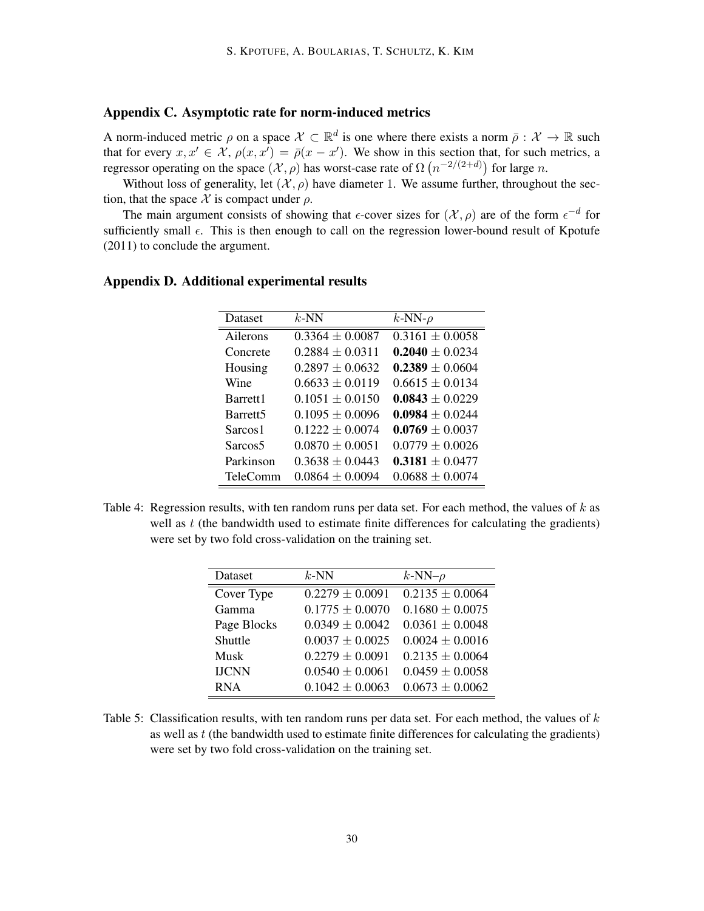# Appendix C. Asymptotic rate for norm-induced metrics

A norm-induced metric  $\rho$  on a space  $\mathcal{X} \subset \mathbb{R}^d$  is one where there exists a norm  $\bar{\rho}: \mathcal{X} \to \mathbb{R}$  such that for every  $x, x' \in \mathcal{X}$ ,  $\rho(x, x') = \overline{\rho}(x - x')$ . We show in this section that, for such metrics, a regressor operating on the space  $(\mathcal{X}, \rho)$  has worst-case rate of  $\Omega(n^{-2/(2+d)})$  for large *n*.

Without loss of generality, let  $(\mathcal{X}, \rho)$  have diameter 1. We assume further, throughout the section, that the space  $\mathcal X$  is compact under  $\rho$ .

The main argument consists of showing that  $\epsilon$ -cover sizes for  $(\mathcal{X}, \rho)$  are of the form  $\epsilon^{-d}$  for sufficiently small  $\epsilon$ . This is then enough to call on the regression lower-bound result of Kpotufe (2011) to conclude the argument.

| Dataset              | $k$ -NN             | $k$ -NN- $\rho$     |
|----------------------|---------------------|---------------------|
| Ailerons             | $0.3364 \pm 0.0087$ | $0.3161 \pm 0.0058$ |
| Concrete             | $0.2884 \pm 0.0311$ | $0.2040 \pm 0.0234$ |
| Housing              | $0.2897 \pm 0.0632$ | $0.2389 \pm 0.0604$ |
| Wine                 | $0.6633 \pm 0.0119$ | $0.6615 + 0.0134$   |
| Barrett <sub>1</sub> | $0.1051 + 0.0150$   | $0.0843 \pm 0.0229$ |
| Barrett <sub>5</sub> | $0.1095 + 0.0096$   | $0.0984 + 0.0244$   |
| Sarcos <sub>1</sub>  | $0.1222 + 0.0074$   | $0.0769 \pm 0.0037$ |
| Sarcos <sub>5</sub>  | $0.0870 + 0.0051$   | $0.0779 \pm 0.0026$ |
| Parkinson            | $0.3638 + 0.0443$   | $0.3181 \pm 0.0477$ |
| <b>TeleComm</b>      | $0.0864 + 0.0094$   | $0.0688 + 0.0074$   |

# Appendix D. Additional experimental results

Table 4: Regression results, with ten random runs per data set. For each method, the values of *k* as well as *t* (the bandwidth used to estimate finite differences for calculating the gradients) were set by two fold cross-validation on the training set.

| Dataset      | $k$ -NN             | $k$ -NN- $\rho$     |
|--------------|---------------------|---------------------|
| Cover Type   | $0.2279 \pm 0.0091$ | $0.2135 \pm 0.0064$ |
| Gamma        | $0.1775 \pm 0.0070$ | $0.1680 \pm 0.0075$ |
| Page Blocks  | $0.0349 \pm 0.0042$ | $0.0361 \pm 0.0048$ |
| Shuttle      | $0.0037 \pm 0.0025$ | $0.0024 \pm 0.0016$ |
| Musk         | $0.2279 \pm 0.0091$ | $0.2135 \pm 0.0064$ |
| <b>IJCNN</b> | $0.0540 \pm 0.0061$ | $0.0459 \pm 0.0058$ |
| <b>RNA</b>   | $0.1042 \pm 0.0063$ | $0.0673 \pm 0.0062$ |

Table 5: Classification results, with ten random runs per data set. For each method, the values of *k* as well as *t* (the bandwidth used to estimate finite differences for calculating the gradients) were set by two fold cross-validation on the training set.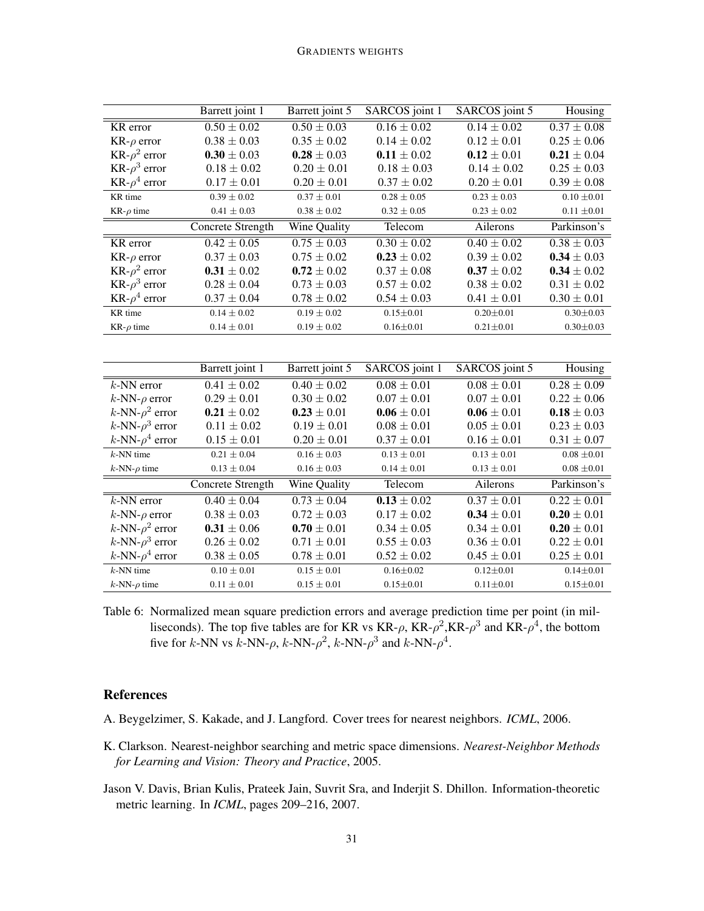#### GRADIENTS WEIGHTS

|                                    | Barrett joint 1            | Barrett joint 5            | SARCOS joint 1  | SARCOS joint 5             | Housing                    |
|------------------------------------|----------------------------|----------------------------|-----------------|----------------------------|----------------------------|
| KR error                           | $0.50 \pm 0.02$            | $\overline{0.50 \pm 0.03}$ | $0.16 \pm 0.02$ | $0.14 \pm 0.02$            | $\overline{0.37 \pm 0.08}$ |
| $KR-\rho$ error                    | $0.38 \pm 0.03$            | $0.35 \pm 0.02$            | $0.14 \pm 0.02$ | $0.12 \pm 0.01$            | $0.25\pm0.06$              |
| KR- $\rho^2$ error                 | $0.30 \pm 0.03$            | $0.28 \pm 0.03$            | $0.11 \pm 0.02$ | $0.12 \pm 0.01$            | $0.21 \pm 0.04$            |
| KR- $\rho^3$ error                 | $0.18 \pm 0.02$            | $0.20 \pm 0.01$            | $0.18 \pm 0.03$ | $0.14 \pm 0.02$            | $0.25 \pm 0.03$            |
| KR- $\rho^4$ error                 | $0.17 \pm 0.01$            | $0.20 \pm 0.01$            | $0.37 \pm 0.02$ | $0.20 \pm 0.01$            | $0.39 \pm 0.08$            |
| KR time                            | $0.39\pm0.02$              | $0.37\pm0.01$              | $0.28\pm0.05$   | $0.23 \pm 0.03$            | $0.10 \pm 0.01$            |
| KR- $\rho$ time                    | $0.41\pm0.03$              | $0.38\pm0.02$              | $0.32\pm0.05$   | $0.23\pm0.02$              | $0.11 \pm 0.01$            |
|                                    | <b>Concrete Strength</b>   | Wine Quality               | Telecom         | Ailerons                   | Parkinson's                |
| KR error                           | $0.42 \pm 0.05$            | $0.75 \pm 0.03$            | $0.30 \pm 0.02$ | $0.40 \pm 0.02$            | $0.38 \pm 0.03$            |
| $KR-\rho$ error                    | $0.37 \pm 0.03$            | $0.75 \pm 0.02$            | $0.23 \pm 0.02$ | $0.39\pm0.02$              | $0.34 \pm 0.03$            |
| KR- $\rho^2$ error                 | $0.31 \pm 0.02$            | $0.72 \pm 0.02$            | $0.37 \pm 0.08$ | $0.37 \pm 0.02$            | $0.34 \pm 0.02$            |
| KR- $\rho^3$ error                 | $0.28 \pm 0.04$            | $0.73 \pm 0.03$            | $0.57\pm0.02$   | $0.38 \pm 0.02$            | $0.31 \pm 0.02$            |
| KR- $\rho^4$ error                 | $0.37 \pm 0.04$            | $0.78 \pm 0.02$            | $0.54 \pm 0.03$ | $0.41 \pm 0.01$            | $0.30 \pm 0.01$            |
| KR time                            | $0.14 \pm 0.02$            | $0.19 \pm 0.02$            | $0.15 \pm 0.01$ | $0.20 + 0.01$              | $0.30 + 0.03$              |
| KR- $\rho$ time                    | $0.14 \pm 0.01$            | $0.19 \pm 0.02$            | $0.16 \pm 0.01$ | $0.21 \pm 0.01$            | $0.30 \pm 0.03$            |
|                                    |                            |                            |                 |                            |                            |
|                                    | Barrett joint 1            | Barrett joint 5            | SARCOS joint 1  | SARCOS joint 5             | Housing                    |
| $k$ -NN error                      | $\overline{0.41 \pm 0.02}$ | $\overline{0.40 \pm 0.02}$ | $0.08 \pm 0.01$ | $\overline{0.08 \pm 0.01}$ | $\overline{0.28 \pm 0.09}$ |
| $k$ -NN- $\rho$ error              | $0.29 \pm 0.01$            | $0.30 \pm 0.02$            | $0.07 \pm 0.01$ | $0.07 \pm 0.01$            | $0.22 \pm 0.06$            |
| $k$ -NN- $\rho^2$ error            | $0.21 \pm 0.02$            | $0.23 \pm 0.01$            | $0.06 \pm 0.01$ | $0.06 \pm 0.01$            | $0.18 \pm 0.03$            |
| $k$ -NN- $\rho$ <sup>3</sup> error | $0.11 \pm 0.02$            | $0.19 \pm 0.01$            | $0.08 \pm 0.01$ | $0.05 \pm 0.01$            | $0.23 \pm 0.03$            |
| $k$ -NN- $\rho^4$ error            | $0.15 \pm 0.01$            | $0.20 \pm 0.01$            | $0.37 \pm 0.01$ | $0.16 \pm 0.01$            | $0.31 \pm 0.07$            |
| $k$ -NN time                       | $0.21 \pm 0.04$            | $0.16 \pm 0.03$            | $0.13 \pm 0.01$ | $0.13 \pm 0.01$            | $0.08 \pm 0.01$            |
| $k$ -NN- $\rho$ time               | $0.13\pm0.04$              | $0.16 \pm 0.03$            | $0.14\pm0.01$   | $0.13 \pm 0.01$            | $0.08 \pm 0.01$            |
|                                    | <b>Concrete Strength</b>   | Wine Quality               | Telecom         | Ailerons                   | Parkinson's                |
| $k$ -NN error                      | $0.40 \pm 0.04$            | $\overline{0.73 \pm 0.04}$ | $0.13 \pm 0.02$ | $0.37 \pm 0.01$            | $0.22 \pm 0.01$            |
| $k$ -NN- $\rho$ error              | $0.38 \pm 0.03$            | $0.72 \pm 0.03$            | $0.17 \pm 0.02$ | $0.34 \pm 0.01$            | $0.20 \pm 0.01$            |
| k-NN- $\rho^2$ error               | $0.31 \pm 0.06$            | $0.70 \pm 0.01$            | $0.34 \pm 0.05$ | $0.34 \pm 0.01$            | $0.20 \pm 0.01$            |
| $k$ -NN- $\rho$ <sup>3</sup> error | $0.26 \pm 0.02$            | $0.71 \pm 0.01$            | $0.55 \pm 0.03$ | $0.36 \pm 0.01$            | $0.22 \pm 0.01$            |
| $k$ -NN- $\rho^4$ error            | $0.38 \pm 0.05$            | $0.78 \pm 0.01$            | $0.52 \pm 0.02$ | $0.45 \pm 0.01$            | $0.25 \pm 0.01$            |
| $k$ -NN time                       | $0.10 \pm 0.01$            | $0.15 \pm 0.01$            | $0.16 \pm 0.02$ | $0.12 \pm 0.01$            | $0.14 \pm 0.01$            |
| $k$ -NN- $\rho$ time               | $0.11\pm0.01$              | $0.15 \pm 0.01$            | $0.15 + 0.01$   | $0.11 \pm 0.01$            | $0.15 \pm 0.01$            |
|                                    |                            |                            |                 |                            |                            |

Table 6: Normalized mean square prediction errors and average prediction time per point (in milliseconds). The top five tables are for KR vs KR- $\rho$ , KR- $\rho^2$ , KR- $\rho^3$  and KR- $\rho^4$ , the bottom five for *k*-NN vs *k*-NN- $\rho$ , *k*-NN- $\rho^2$ , *k*-NN- $\rho^3$  and *k*-NN- $\rho^4$ .

# References

- A. Beygelzimer, S. Kakade, and J. Langford. Cover trees for nearest neighbors. *ICML*, 2006.
- K. Clarkson. Nearest-neighbor searching and metric space dimensions. *Nearest-Neighbor Methods for Learning and Vision: Theory and Practice*, 2005.
- Jason V. Davis, Brian Kulis, Prateek Jain, Suvrit Sra, and Inderjit S. Dhillon. Information-theoretic metric learning. In *ICML*, pages 209–216, 2007.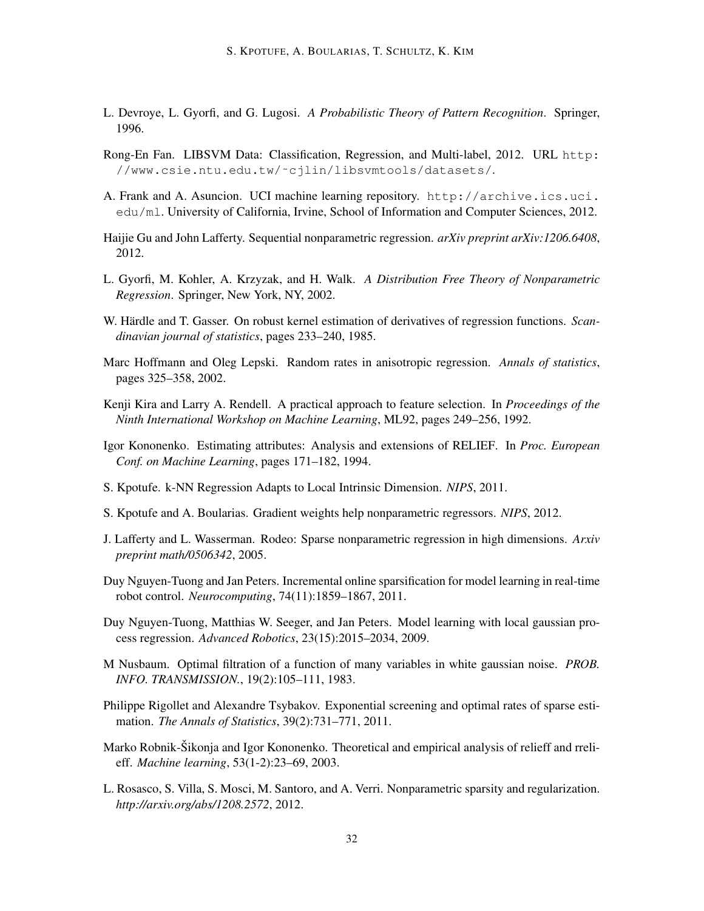- L. Devroye, L. Gyorfi, and G. Lugosi. *A Probabilistic Theory of Pattern Recognition*. Springer, 1996.
- Rong-En Fan. LIBSVM Data: Classification, Regression, and Multi-label, 2012. URL http: //www.csie.ntu.edu.tw/˜cjlin/libsvmtools/datasets/.
- A. Frank and A. Asuncion. UCI machine learning repository. http://archive.ics.uci. edu/ml. University of California, Irvine, School of Information and Computer Sciences, 2012.
- Haijie Gu and John Lafferty. Sequential nonparametric regression. *arXiv preprint arXiv:1206.6408*, 2012.
- L. Gyorfi, M. Kohler, A. Krzyzak, and H. Walk. *A Distribution Free Theory of Nonparametric Regression*. Springer, New York, NY, 2002.
- W. Härdle and T. Gasser. On robust kernel estimation of derivatives of regression functions. Scan*dinavian journal of statistics*, pages 233–240, 1985.
- Marc Hoffmann and Oleg Lepski. Random rates in anisotropic regression. *Annals of statistics*, pages 325–358, 2002.
- Kenji Kira and Larry A. Rendell. A practical approach to feature selection. In *Proceedings of the Ninth International Workshop on Machine Learning*, ML92, pages 249–256, 1992.
- Igor Kononenko. Estimating attributes: Analysis and extensions of RELIEF. In *Proc. European Conf. on Machine Learning*, pages 171–182, 1994.
- S. Kpotufe. k-NN Regression Adapts to Local Intrinsic Dimension. *NIPS*, 2011.
- S. Kpotufe and A. Boularias. Gradient weights help nonparametric regressors. *NIPS*, 2012.
- J. Lafferty and L. Wasserman. Rodeo: Sparse nonparametric regression in high dimensions. *Arxiv preprint math/0506342*, 2005.
- Duy Nguyen-Tuong and Jan Peters. Incremental online sparsification for model learning in real-time robot control. *Neurocomputing*, 74(11):1859–1867, 2011.
- Duy Nguyen-Tuong, Matthias W. Seeger, and Jan Peters. Model learning with local gaussian process regression. *Advanced Robotics*, 23(15):2015–2034, 2009.
- M Nusbaum. Optimal filtration of a function of many variables in white gaussian noise. *PROB. INFO. TRANSMISSION.*, 19(2):105–111, 1983.
- Philippe Rigollet and Alexandre Tsybakov. Exponential screening and optimal rates of sparse estimation. *The Annals of Statistics*, 39(2):731–771, 2011.
- Marko Robnik-Šikonja and Igor Kononenko. Theoretical and empirical analysis of relieff and rrelieff. *Machine learning*, 53(1-2):23–69, 2003.
- L. Rosasco, S. Villa, S. Mosci, M. Santoro, and A. Verri. Nonparametric sparsity and regularization. *http://arxiv.org/abs/1208.2572*, 2012.